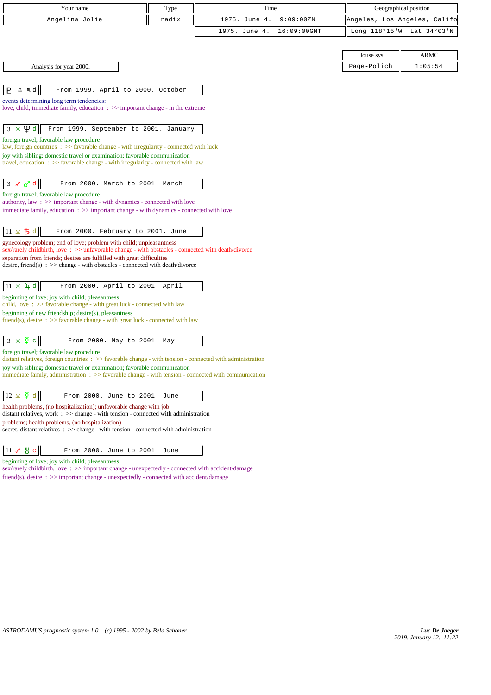| Your name                                                                                                                                                                         | Type  | Time                         | Geographical position        |         |
|-----------------------------------------------------------------------------------------------------------------------------------------------------------------------------------|-------|------------------------------|------------------------------|---------|
| Angelina Jolie                                                                                                                                                                    | radix | 1975. June 4.<br>9:09:00ZN   | Angeles, Los Angeles, Califo |         |
|                                                                                                                                                                                   |       | 1975. June 4.<br>16:09:00GMT | Long 118°15'W Lat 34°03'N    |         |
|                                                                                                                                                                                   |       |                              |                              |         |
|                                                                                                                                                                                   |       |                              | House sys                    | ARMC    |
| Analysis for year 2000.                                                                                                                                                           |       |                              | Page-Polich                  | 1:05:54 |
|                                                                                                                                                                                   |       |                              |                              |         |
| P<br>$\underline{\Omega}$   $M$ d<br>From 1999. April to 2000. October                                                                                                            |       |                              |                              |         |
| events determining long term tendencies:                                                                                                                                          |       |                              |                              |         |
| love, child, immediate family, education : >> important change - in the extreme                                                                                                   |       |                              |                              |         |
| $3 * 4 d$<br>From 1999. September to 2001. January                                                                                                                                |       |                              |                              |         |
| foreign travel; favorable law procedure                                                                                                                                           |       |                              |                              |         |
| law, foreign countries : >> favorable change - with irregularity - connected with luck                                                                                            |       |                              |                              |         |
| joy with sibling; domestic travel or examination; favorable communication<br>travel, education $\Rightarrow$ Savorable change - with irregularity - connected with law            |       |                              |                              |         |
|                                                                                                                                                                                   |       |                              |                              |         |
| $3 \times d$<br>From 2000. March to 2001. March                                                                                                                                   |       |                              |                              |         |
| foreign travel; favorable law procedure                                                                                                                                           |       |                              |                              |         |
| authority, law $\Rightarrow$ >> important change - with dynamics - connected with love<br>immediate family, education : >> important change - with dynamics - connected with love |       |                              |                              |         |
|                                                                                                                                                                                   |       |                              |                              |         |
| $11 \times 5$ d<br>From 2000. February to 2001. June                                                                                                                              |       |                              |                              |         |
| gynecology problem; end of love; problem with child; unpleasantness<br>sex/rarely childbirth, love: >> unfavorable change - with obstacles - connected with death/divorce         |       |                              |                              |         |
| separation from friends; desires are fulfilled with great difficulties                                                                                                            |       |                              |                              |         |
| desire, friend(s) : $\gg$ change - with obstacles - connected with death/divorce                                                                                                  |       |                              |                              |         |
|                                                                                                                                                                                   |       |                              |                              |         |
| $11 \times 4d$<br>From 2000. April to 2001. April                                                                                                                                 |       |                              |                              |         |
| beginning of love; joy with child; pleasantness<br>child, love: >> favorable change - with great luck - connected with law                                                        |       |                              |                              |         |
| beginning of new friendship; desire(s), pleasantness                                                                                                                              |       |                              |                              |         |
| friend(s), desire $\Rightarrow$ S favorable change - with great luck - connected with law                                                                                         |       |                              |                              |         |
| $3 \times \overline{2}$ c<br>From 2000. May to 2001. May                                                                                                                          |       |                              |                              |         |
| foreign travel; favorable law procedure                                                                                                                                           |       |                              |                              |         |
| distant relatives, foreign countries : >> favorable change - with tension - connected with administration                                                                         |       |                              |                              |         |
| joy with sibling; domestic travel or examination; favorable communication<br>immediate family, administration : >> favorable change - with tension - connected with communication |       |                              |                              |         |
|                                                                                                                                                                                   |       |                              |                              |         |
| $12 \times \xi$ d<br>From 2000. June to 2001. June                                                                                                                                |       |                              |                              |         |
| health problems, (no hospitalization); unfavorable change with job                                                                                                                |       |                              |                              |         |
| distant relatives, work : >> change - with tension - connected with administration<br>problems; health problems, (no hospitalization)                                             |       |                              |                              |         |
| secret, distant relatives : >> change - with tension - connected with administration                                                                                              |       |                              |                              |         |
|                                                                                                                                                                                   |       |                              |                              |         |
| $11$ $8$ $8$ $c$<br>From 2000. June to 2001. June                                                                                                                                 |       |                              |                              |         |
| beginning of love; joy with child; pleasantness<br>sex/rarely childbirth, love: >> important change - unexpectedly - connected with accident/damage                               |       |                              |                              |         |
| friend(s), desire : >> important change - unexpectedly - connected with accident/damage                                                                                           |       |                              |                              |         |
|                                                                                                                                                                                   |       |                              |                              |         |
|                                                                                                                                                                                   |       |                              |                              |         |
|                                                                                                                                                                                   |       |                              |                              |         |
|                                                                                                                                                                                   |       |                              |                              |         |
|                                                                                                                                                                                   |       |                              |                              |         |
|                                                                                                                                                                                   |       |                              |                              |         |
|                                                                                                                                                                                   |       |                              |                              |         |
|                                                                                                                                                                                   |       |                              |                              |         |
|                                                                                                                                                                                   |       |                              |                              |         |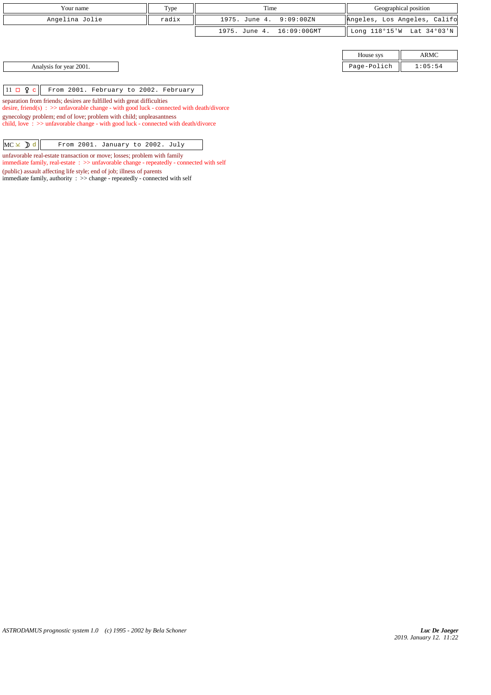| Your name               | Type  | Time                      |                              | Geographical position |
|-------------------------|-------|---------------------------|------------------------------|-----------------------|
| Angelina Jolie          | radix | 1975. June 4. 9:09:00ZN   | Angeles, Los Angeles, Califo |                       |
|                         |       | 1975. June 4. 16:09:00GMT | Long 118°15'W Lat 34°03'N    |                       |
|                         |       |                           |                              |                       |
|                         |       |                           | House sys                    | <b>ARMC</b>           |
| Analysis for year 2001. |       |                           | Page-Polich                  | 1:05:54               |

 $11 \Box$   $2 \Box$  From 2001. February to 2002. February

separation from friends; desires are fulfilled with great difficulties desire, friend(s) : >> unfavorable change - with good luck - connected with death/divorce gynecology problem; end of love; problem with child; unpleasantness child, love : >> unfavorable change - with good luck - connected with death/divorce

| $MC \times D d$ |  |  | From 2001. January to 2002. July |  |  |  |
|-----------------|--|--|----------------------------------|--|--|--|
|-----------------|--|--|----------------------------------|--|--|--|

unfavorable real-estate transaction or move; losses; problem with family immediate family, real-estate : >> unfavorable change - repeatedly - connected with self (public) assault affecting life style; end of job; illness of parents

immediate family, authority : >> change - repeatedly - connected with self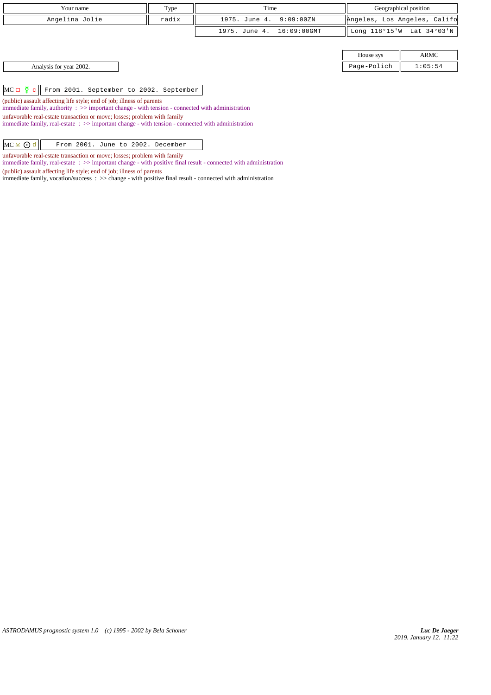| Your name                                                | Type  | Time                      |             | Geographical position        |
|----------------------------------------------------------|-------|---------------------------|-------------|------------------------------|
| Angelina Jolie                                           | radix | 1975. June 4. 9:09:00ZN   |             | Angeles, Los Angeles, Califo |
|                                                          |       | 1975. June 4. 16:09:00GMT |             | Long 118°15'W Lat 34°03'N    |
|                                                          |       |                           |             |                              |
|                                                          |       |                           | House sys   | ARMC                         |
| Analysis for year 2002.                                  |       |                           | Page-Polich | 1:05:54                      |
|                                                          |       |                           |             |                              |
| $MC \Box Q$ c<br>From 2001. September to 2002. September |       |                           |             |                              |

(public) assault affecting life style; end of job; illness of parents

immediate family, authority : >> important change - with tension - connected with administration

unfavorable real-estate transaction or move; losses; problem with family

immediate family, real-estate : >> important change - with tension - connected with administration

unfavorable real-estate transaction or move; losses; problem with family immediate family, real-estate : >> important change - with positive final result - connected with administration

(public) assault affecting life style; end of job; illness of parents

immediate family, vocation/success : >> change - with positive final result - connected with administration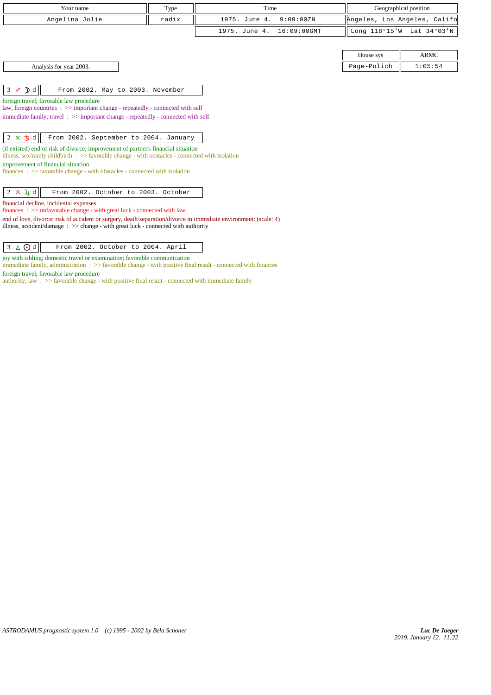| Your name                                                                                                                                                                                       | Type  | Time                            |             | Geographical position        |
|-------------------------------------------------------------------------------------------------------------------------------------------------------------------------------------------------|-------|---------------------------------|-------------|------------------------------|
| Angelina Jolie                                                                                                                                                                                  | radix | 1975. June 4.<br>9:09:00ZN      |             | Angeles, Los Angeles, Califo |
|                                                                                                                                                                                                 |       | $16:09:00$ GMT<br>1975. June 4. |             | Long 118°15'W Lat 34°03'N    |
|                                                                                                                                                                                                 |       |                                 |             |                              |
|                                                                                                                                                                                                 |       |                                 | House sys   | <b>ARMC</b>                  |
| Analysis for year 2003.                                                                                                                                                                         |       |                                 | Page-Polich | 1:05:54                      |
|                                                                                                                                                                                                 |       |                                 |             |                              |
| $3 \times D d$<br>From 2002. May to 2003. November                                                                                                                                              |       |                                 |             |                              |
| foreign travel; favorable law procedure                                                                                                                                                         |       |                                 |             |                              |
| law, foreign countries : >> important change - repeatedly - connected with self<br>immediate family, travel $\Rightarrow$ important change - repeatedly - connected with self                   |       |                                 |             |                              |
|                                                                                                                                                                                                 |       |                                 |             |                              |
| $2 * 5d$<br>From 2002. September to 2004. January                                                                                                                                               |       |                                 |             |                              |
| (if existed) end of risk of divorce; improvement of partner's financial situation<br>illness, sex/rarely childbirth $\therefore$ > favorable change - with obstacles - connected with isolation |       |                                 |             |                              |
| improvement of financial situation<br>$finances : \gg$ favorable change - with obstacles - connected with isolation                                                                             |       |                                 |             |                              |
|                                                                                                                                                                                                 |       |                                 |             |                              |
| $2 \times 4d$<br>From 2002. October to 2003. October                                                                                                                                            |       |                                 |             |                              |
| financial decline, incidental expenses<br>finances : $\gg$ unfavorable change - with great luck - connected with law                                                                            |       |                                 |             |                              |

end of love, divorce; risk of accident or surgery, death/separation/divorce in immediate environment: (scale: 4) illness, accident/damage : >> change - with great luck - connected with authority

joy with sibling; domestic travel or examination; favorable communication

immediate family, administration : >> favorable change - with positive final result - connected with finances foreign travel; favorable law procedure

authority, law : >> favorable change - with positive final result - connected with immediate family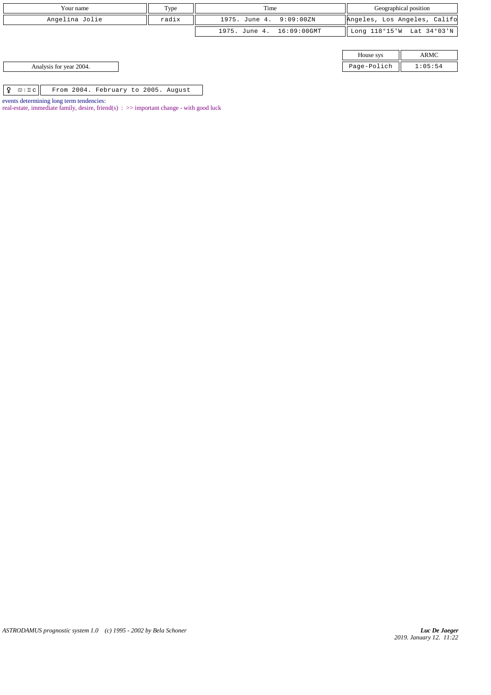| Your name                                                     | Type  | Time                      | Geographical position        |             |
|---------------------------------------------------------------|-------|---------------------------|------------------------------|-------------|
| Angelina Jolie                                                | radix | 1975. June 4. 9:09:00ZN   | Angeles, Los Angeles, Califo |             |
|                                                               |       | 1975. June 4. 16:09:00GMT | Long 118°15'W Lat 34°03'N    |             |
|                                                               |       |                           |                              |             |
|                                                               |       |                           | House sys                    | <b>ARMC</b> |
| Analysis for year 2004.                                       |       |                           | Page-Polich                  | 1:05:54     |
|                                                               |       |                           |                              |             |
| $\circ$   I c $ $<br>From 2004. February to 2005. August<br>Q |       |                           |                              |             |

*ASTRODAMUS prognostic system 1.0 (c) 1995 - 2002 by Bela Schoner*

events determining long term tendencies:

real-estate, immediate family, desire, friend(s)  $\Rightarrow$  important change - with good luck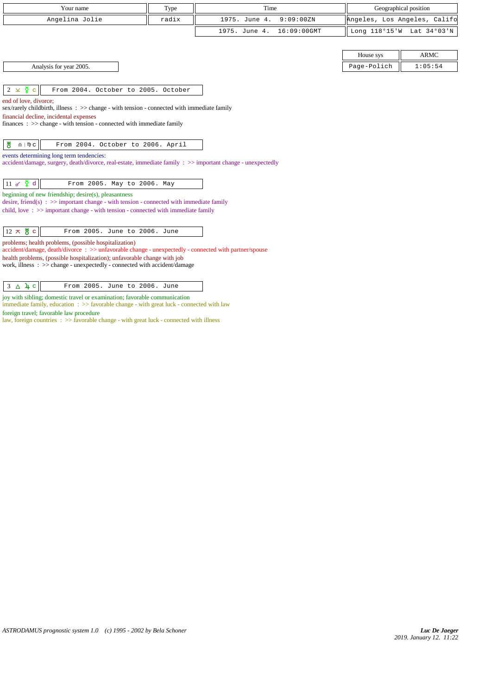| Your name                                                                                                                                                                                                     | Type  | Time                         |                              | Geographical position     |
|---------------------------------------------------------------------------------------------------------------------------------------------------------------------------------------------------------------|-------|------------------------------|------------------------------|---------------------------|
| Angelina Jolie                                                                                                                                                                                                | radix | 1975. June 4.<br>9:09:00ZN   | Angeles, Los Angeles, Califo |                           |
|                                                                                                                                                                                                               |       | 1975. June 4.<br>16:09:00GMT |                              | Long 118°15'W Lat 34°03'N |
|                                                                                                                                                                                                               |       |                              | House sys                    | <b>ARMC</b>               |
| Analysis for year 2005.                                                                                                                                                                                       |       |                              | Page-Polich                  | 1:05:54                   |
|                                                                                                                                                                                                               |       |                              |                              |                           |
| $2 \times \xi$ c<br>From 2004. October to 2005. October                                                                                                                                                       |       |                              |                              |                           |
| sex/rarely childbirth, illness : >> change - with tension - connected with immediate family<br>financial decline, incidental expenses<br>finances: >> change - with tension - connected with immediate family |       |                              |                              |                           |
| 쁑<br>$\underline{\Omega}$   $\mathbb{D}$ C<br>From 2004. October to 2006. April                                                                                                                               |       |                              |                              |                           |
| events determining long term tendencies:<br>accident/damage, surgery, death/divorce, real-estate, immediate family : >> important change - unexpectedly                                                       |       |                              |                              |                           |
| $11 \times \Phi d$<br>From 2005. May to 2006. May                                                                                                                                                             |       |                              |                              |                           |
| beginning of new friendship; desire(s), pleasantness<br>desire, friend(s) : $\gg$ important change - with tension - connected with immediate family                                                           |       |                              |                              |                           |
| child, love: $\gg$ important change - with tension - connected with immediate family                                                                                                                          |       |                              |                              |                           |
| $12 \times \frac{14}{0}$ c<br>From 2005. June to 2006. June                                                                                                                                                   |       |                              |                              |                           |
| problems; health problems, (possible hospitalization)<br>accident/damage, death/divorce: >> unfavorable change - unexpectedly - connected with partner/spouse                                                 |       |                              |                              |                           |
| health problems, (possible hospitalization); unfavorable change with job<br>work, illness: >> change - unexpectedly - connected with accident/damage                                                          |       |                              |                              |                           |
| $3 \Delta \mu c$<br>From 2005. June to 2006. June                                                                                                                                                             |       |                              |                              |                           |

joy with sibling; domestic travel or examination; favorable communication

immediate family, education : >> favorable change - with great luck - connected with law foreign travel; favorable law procedure

law, foreign countries : >> favorable change - with great luck - connected with illness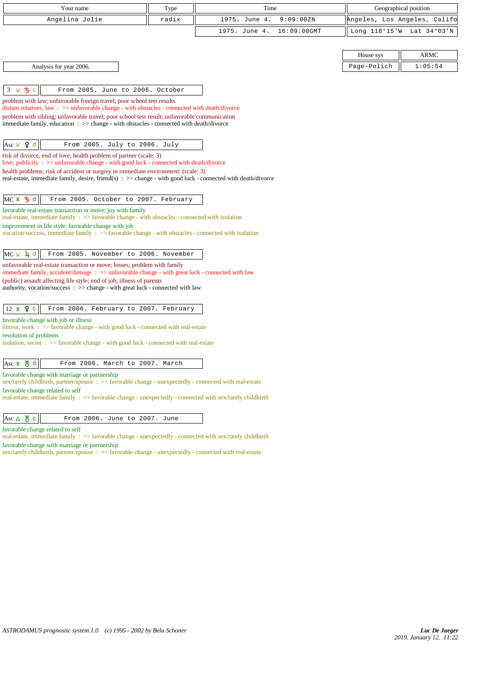| Your name                                                                                                                                                                                                               | Type  | Time                         |             | Geographical position        |  |
|-------------------------------------------------------------------------------------------------------------------------------------------------------------------------------------------------------------------------|-------|------------------------------|-------------|------------------------------|--|
| Angelina Jolie                                                                                                                                                                                                          | radix | 1975. June 4.<br>9:09:00ZN   |             | Angeles, Los Angeles, Califo |  |
|                                                                                                                                                                                                                         |       | 1975. June 4.<br>16:09:00GMT |             | Long 118°15'W Lat 34°03'N    |  |
|                                                                                                                                                                                                                         |       |                              |             |                              |  |
|                                                                                                                                                                                                                         |       |                              | House sys   | <b>ARMC</b>                  |  |
| Analysis for year 2006.                                                                                                                                                                                                 |       |                              | Page-Polich | 1:05:54                      |  |
|                                                                                                                                                                                                                         |       |                              |             |                              |  |
| 3 × 5 c<br>From 2005. June to 2006. October                                                                                                                                                                             |       |                              |             |                              |  |
| problem with law; unfavorable foreign travel; poor school test results                                                                                                                                                  |       |                              |             |                              |  |
| distant relatives, law $\Rightarrow$ > $\Rightarrow$ unfavorable change - with obstacles - connected with death/divorce<br>problem with sibling; unfavorable travel; poor school test result; unfavorable communication |       |                              |             |                              |  |
| immediate family, education : >> change - with obstacles - connected with death/divorce                                                                                                                                 |       |                              |             |                              |  |
|                                                                                                                                                                                                                         |       |                              |             |                              |  |
| Asc $\times$ 9 d<br>From 2005. July to 2006. July                                                                                                                                                                       |       |                              |             |                              |  |
| risk of divorce, end of love; health problem of partner (scale: 3)<br>love, publicity : >> unfavorable change - with good luck - connected with death/divorce                                                           |       |                              |             |                              |  |
| health problems; risk of accident or surgery in immediate environment: (scale: 3)                                                                                                                                       |       |                              |             |                              |  |
| real-estate, immediate family, desire, friend(s) $\Rightarrow$ >> change - with good luck - connected with death/divorce                                                                                                |       |                              |             |                              |  |
| From 2005. October to 2007. February                                                                                                                                                                                    |       |                              |             |                              |  |
| $MC \times 5d$<br>favorable real-estate transaction or move; joy with family                                                                                                                                            |       |                              |             |                              |  |
| real-estate, immediate family $\Rightarrow$ favorable change - with obstacles - connected with isolation                                                                                                                |       |                              |             |                              |  |
| improvement in life style; favorable change with job<br>vocation/success, immediate family $\Rightarrow$ Savorable change - with obstacles - connected with isolation                                                   |       |                              |             |                              |  |
|                                                                                                                                                                                                                         |       |                              |             |                              |  |
| From 2005. November to 2006. November<br>$MC \times 1$ <sup>d</sup>                                                                                                                                                     |       |                              |             |                              |  |
| unfavorable real-estate transaction or move; losses; problem with family                                                                                                                                                |       |                              |             |                              |  |
| immediate family, accident/damage : >> unfavorable change - with great luck - connected with law<br>(public) assault affecting life style; end of job; illness of parents                                               |       |                              |             |                              |  |
| authority, vocation/success: >> change - with great luck - connected with law                                                                                                                                           |       |                              |             |                              |  |
|                                                                                                                                                                                                                         |       |                              |             |                              |  |
| $12 \times 9$ c<br>From 2006. February to 2007. February                                                                                                                                                                |       |                              |             |                              |  |
| favorable change with job or illness<br>illness, work $\Rightarrow$ favorable change - with good luck - connected with real-estate                                                                                      |       |                              |             |                              |  |
| resolution of problems                                                                                                                                                                                                  |       |                              |             |                              |  |
| isolation, secret : >> favorable change - with good luck - connected with real-estate                                                                                                                                   |       |                              |             |                              |  |
| $Asc \times \overset{\text{M}}{\circ} d$<br>From 2006. March to 2007. March                                                                                                                                             |       |                              |             |                              |  |
| favorable change with marriage or partnership                                                                                                                                                                           |       |                              |             |                              |  |
| sex/rarely childbirth, partner/spouse : >> favorable change - unexpectedly - connected with real-estate                                                                                                                 |       |                              |             |                              |  |
| favorable change related to self<br>real-estate, immediate family : >> favorable change - unexpectedly - connected with sex/rarely childbirth                                                                           |       |                              |             |                              |  |
|                                                                                                                                                                                                                         |       |                              |             |                              |  |
| $Asc \triangle \mathcal{B}$ c<br>From 2006. June to 2007. June                                                                                                                                                          |       |                              |             |                              |  |
| favorable change related to self                                                                                                                                                                                        |       |                              |             |                              |  |

real-estate, immediate family : >> favorable change - unexpectedly - connected with sex/rarely childbirth favorable change with marriage or partnership

sex/rarely childbirth, partner/spouse :  $>$  favorable change - unexpectedly - connected with real-estate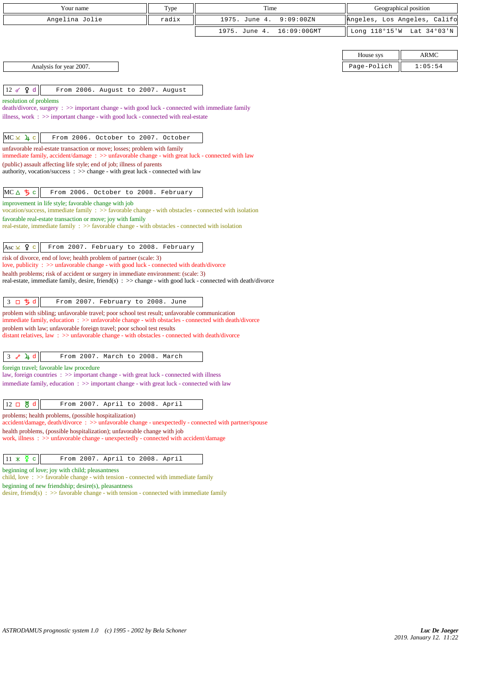| Your name                                                                                                                                                                                                  | Type  | Time                         | Geographical position        |             |
|------------------------------------------------------------------------------------------------------------------------------------------------------------------------------------------------------------|-------|------------------------------|------------------------------|-------------|
| Angelina Jolie                                                                                                                                                                                             | radix | 1975. June 4.<br>9:09:00ZN   | Angeles, Los Angeles, Califo |             |
|                                                                                                                                                                                                            |       | 1975. June 4.<br>16:09:00GMT | Long 118°15'W Lat 34°03'N    |             |
|                                                                                                                                                                                                            |       |                              |                              |             |
|                                                                                                                                                                                                            |       |                              | House sys                    | <b>ARMC</b> |
| Analysis for year 2007.                                                                                                                                                                                    |       |                              | Page-Polich                  | 1:05:54     |
|                                                                                                                                                                                                            |       |                              |                              |             |
| 12 $\sigma$ $\varphi$ d<br>From 2006. August to 2007. August                                                                                                                                               |       |                              |                              |             |
| resolution of problems                                                                                                                                                                                     |       |                              |                              |             |
| $death/divorce, surgery : \gg important change - with good luck - connected with immediate family$                                                                                                         |       |                              |                              |             |
| illness, work $\Rightarrow$ important change - with good luck - connected with real-estate                                                                                                                 |       |                              |                              |             |
| $MC \times 1$ c<br>From 2006. October to 2007. October                                                                                                                                                     |       |                              |                              |             |
| unfavorable real-estate transaction or move; losses; problem with family                                                                                                                                   |       |                              |                              |             |
| immediate family, accident/damage: $\gg$ unfavorable change - with great luck - connected with law                                                                                                         |       |                              |                              |             |
| (public) assault affecting life style; end of job; illness of parents                                                                                                                                      |       |                              |                              |             |
| authority, vocation/success : >> change - with great luck - connected with law                                                                                                                             |       |                              |                              |             |
| MCA ち c<br>From 2006. October to 2008. February                                                                                                                                                            |       |                              |                              |             |
| improvement in life style; favorable change with job                                                                                                                                                       |       |                              |                              |             |
| vocation/success, immediate family : >> favorable change - with obstacles - connected with isolation                                                                                                       |       |                              |                              |             |
| favorable real-estate transaction or move; joy with family<br>real-estate, immediate family $\Rightarrow$ favorable change - with obstacles - connected with isolation                                     |       |                              |                              |             |
|                                                                                                                                                                                                            |       |                              |                              |             |
| Asc $\times$ 9 c<br>From 2007. February to 2008. February                                                                                                                                                  |       |                              |                              |             |
| risk of divorce, end of love; health problem of partner (scale: 3)                                                                                                                                         |       |                              |                              |             |
| love, publicity : $\gg$ unfavorable change - with good luck - connected with death/divorce                                                                                                                 |       |                              |                              |             |
| health problems; risk of accident or surgery in immediate environment: (scale: 3)<br>real-estate, immediate family, desire, friend(s) $\Rightarrow$ change - with good luck - connected with death/divorce |       |                              |                              |             |
|                                                                                                                                                                                                            |       |                              |                              |             |
| 3 口 ち d<br>From 2007. February to 2008. June                                                                                                                                                               |       |                              |                              |             |
| problem with sibling; unfavorable travel; poor school test result; unfavorable communication                                                                                                               |       |                              |                              |             |
| immediate family, education: >> unfavorable change - with obstacles - connected with death/divorce                                                                                                         |       |                              |                              |             |
| problem with law; unfavorable foreign travel; poor school test results<br>distant relatives, law $\Rightarrow$ > unfavorable change - with obstacles - connected with death/divorce                        |       |                              |                              |             |
|                                                                                                                                                                                                            |       |                              |                              |             |
| 4d<br>From 2007. March to 2008. March<br>3 <sub>o</sub>                                                                                                                                                    |       |                              |                              |             |
| foreign travel; favorable law procedure                                                                                                                                                                    |       |                              |                              |             |
| law, foreign countries : >> important change - with great luck - connected with illness<br>immediate family, education $\Rightarrow$ > important change - with great luck - connected with law             |       |                              |                              |             |
|                                                                                                                                                                                                            |       |                              |                              |             |
| 12 口 5 d<br>From 2007. April to 2008. April                                                                                                                                                                |       |                              |                              |             |
| problems; health problems, (possible hospitalization)                                                                                                                                                      |       |                              |                              |             |
| accident/damage, death/divorce : >> unfavorable change - unexpectedly - connected with partner/spouse                                                                                                      |       |                              |                              |             |
| health problems, (possible hospitalization); unfavorable change with job<br>work, illness: >> unfavorable change - unexpectedly - connected with accident/damage                                           |       |                              |                              |             |
|                                                                                                                                                                                                            |       |                              |                              |             |
| $11 \times \overline{9}$<br>From 2007. April to 2008. April<br>$\mathbf c$                                                                                                                                 |       |                              |                              |             |
| beginning of love; joy with child; pleasantness                                                                                                                                                            |       |                              |                              |             |
| child, love: $\gg$ favorable change - with tension - connected with immediate family                                                                                                                       |       |                              |                              |             |
| beginning of new friendship; desire(s), pleasantness<br>desire, friend(s) : $\gg$ favorable change - with tension - connected with immediate family                                                        |       |                              |                              |             |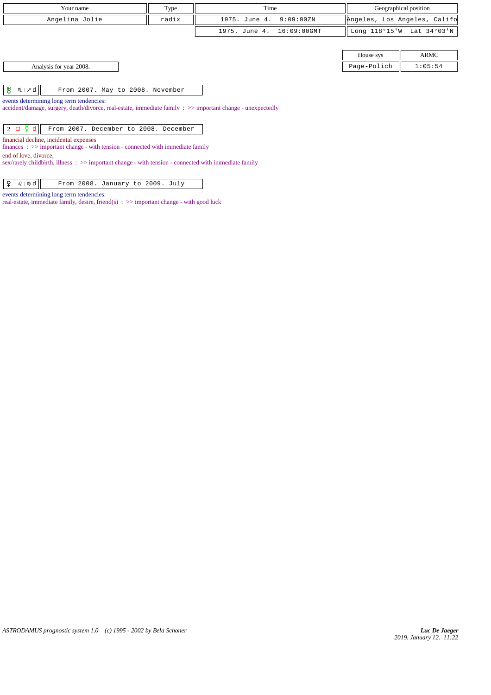| Your name      | Type  | Time                      | Geographical position        |
|----------------|-------|---------------------------|------------------------------|
| Angelina Jolie | radix | 1975. June 4. 9:09:00ZN   | Angeles, Los Angeles, Califo |
|                |       | 1975. June 4. 16:09:00GMT | Long 118°15'W Lat 34°03'N    |

| Analysis for year 2008. |  |
|-------------------------|--|
|-------------------------|--|

 $\begin{array}{|c|c|c|c|c|}\hline \texttt{M} & \texttt{m} & \texttt{r} \end{array}$   $\begin{array}{|c|c|c|c|c|}\hline \texttt{M} & \texttt{m} & \texttt{m} \end{array}$  From 2007. May to 2008. November

events determining long term tendencies:

accident/damage, surgery, death/divorce, real-estate, immediate family : >> important change - unexpectedly

 $\begin{array}{|c|c|c|c|c|c|}\hline 2 & \Box & \tilde{\mathbf{Q}} & \mathbf{d} & \hline \end{array}$  From 2007. December to 2008. December

financial decline, incidental expenses

finances : >> important change - with tension - connected with immediate family

end of love, divorce;

sex/rarely childbirth, illness : >> important change - with tension - connected with immediate family

 $\boxed{ \begin{array}{|c|c|c|} \hline \textbf{Q} & \text{if $\theta$} \end{array} }$  From 2008. January to 2009. July

events determining long term tendencies:

real-estate, immediate family, desire, friend(s) : >> important change - with good luck

House sys ARMC Page-Polich  $\parallel$  1:05:54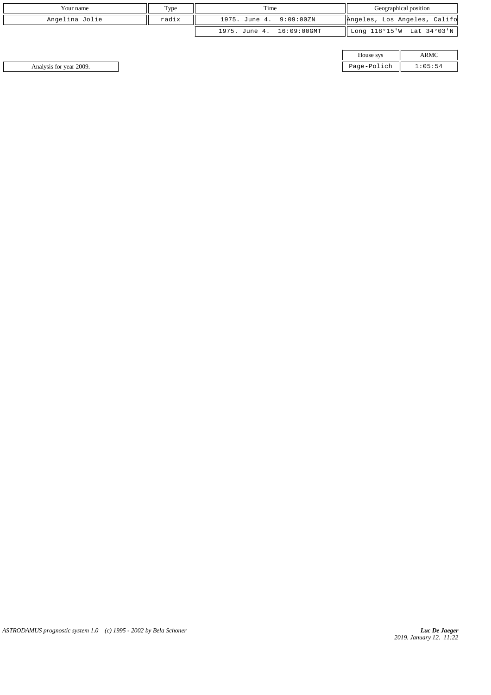| Your name      | Type  | Time                         | Geographical position        |
|----------------|-------|------------------------------|------------------------------|
| Angelina Jolie | radix | 9:09:00ZN<br>1975. June 4.   | Angeles, Los Angeles, Califo |
|                |       | 16:09:00GMT<br>1975. June 4. | Long 118°15'W Lat 34°03'N    |

| House sys   |  |
|-------------|--|
| Page-Polich |  |

Analysis for year 2009. Page-Polich 1:05:54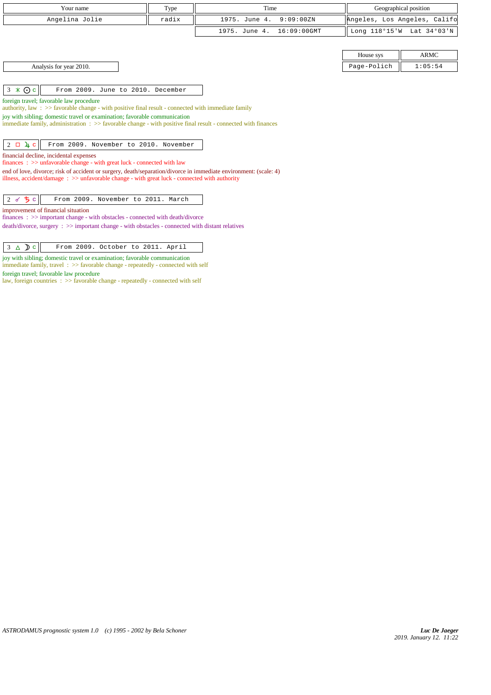| Your name                                                                                                                                                                                                                                                    | Type  | Time                         | Geographical position        |             |
|--------------------------------------------------------------------------------------------------------------------------------------------------------------------------------------------------------------------------------------------------------------|-------|------------------------------|------------------------------|-------------|
| Angelina Jolie                                                                                                                                                                                                                                               | radix | 1975. June 4.<br>9:09:00ZN   | Angeles, Los Angeles, Califo |             |
|                                                                                                                                                                                                                                                              |       | 1975. June 4.<br>16:09:00GMT | Long 118°15'W                | Lat 34°03'N |
|                                                                                                                                                                                                                                                              |       |                              |                              |             |
|                                                                                                                                                                                                                                                              |       |                              | House sys                    | <b>ARMC</b> |
| Analysis for year 2010.                                                                                                                                                                                                                                      |       |                              | Page-Polich                  | 1:05:54     |
|                                                                                                                                                                                                                                                              |       |                              |                              |             |
| $3 \times 0c$<br>From 2009. June to 2010. December                                                                                                                                                                                                           |       |                              |                              |             |
| joy with sibling; domestic travel or examination; favorable communication<br>immediate family, administration $\Rightarrow$ Savorable change - with positive final result - connected with finances<br>$2 \Box 4 c$<br>From 2009. November to 2010. November |       |                              |                              |             |
| financial decline, incidental expenses<br>$finances : \gg$ unfavorable change - with great luck - connected with law                                                                                                                                         |       |                              |                              |             |
| end of love, divorce; risk of accident or surgery, death/separation/divorce in immediate environment: (scale: 4)<br>illness, accident/damage : $\gg$ unfavorable change - with great luck - connected with authority                                         |       |                              |                              |             |
| ♂ ち ○<br>From 2009. November to 2011. March<br>2                                                                                                                                                                                                             |       |                              |                              |             |
| improvement of financial situation                                                                                                                                                                                                                           |       |                              |                              |             |
| finances : $\gg$ important change - with obstacles - connected with death/divorce                                                                                                                                                                            |       |                              |                              |             |
| $death/divorce, surgery : >> important change - with obstacles - connected with distant relatives$                                                                                                                                                           |       |                              |                              |             |

|  | $3 \Delta$ D c | From 2009. October to 2011. April |  |  |  |  |  |
|--|----------------|-----------------------------------|--|--|--|--|--|
|--|----------------|-----------------------------------|--|--|--|--|--|

joy with sibling; domestic travel or examination; favorable communication immediate family, travel :  $\gg$  favorable change - repeatedly - connected with self

foreign travel; favorable law procedure

law, foreign countries : >> favorable change - repeatedly - connected with self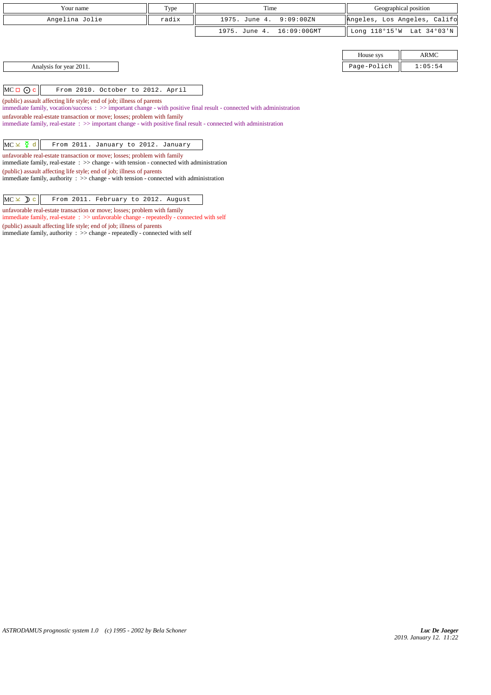| Your name                                                                                                                                                                                                       | Type  | Time                         |             | Geographical position        |
|-----------------------------------------------------------------------------------------------------------------------------------------------------------------------------------------------------------------|-------|------------------------------|-------------|------------------------------|
| Angelina Jolie                                                                                                                                                                                                  | radix | 9:09:00ZN<br>1975. June 4.   |             | Angeles, Los Angeles, Califo |
|                                                                                                                                                                                                                 |       | 16:09:00GMT<br>1975. June 4. |             | Long 118°15'W Lat 34°03'N    |
|                                                                                                                                                                                                                 |       |                              |             |                              |
|                                                                                                                                                                                                                 |       |                              | House sys   | ARMC                         |
| Analysis for year 2011.                                                                                                                                                                                         |       |                              | Page-Polich | 1:05:54                      |
|                                                                                                                                                                                                                 |       |                              |             |                              |
| $MC \Box \odot c$<br>From 2010. October to 2012. April                                                                                                                                                          |       |                              |             |                              |
| (public) assault affecting life style; end of job; illness of parents                                                                                                                                           |       |                              |             |                              |
| immediate family, vocation/success $\therefore$ $\gg$ important change - with positive final result - connected with administration<br>unfavorable real-estate transaction or move; losses; problem with family |       |                              |             |                              |
| immediate family, real-estate: >> important change - with positive final result - connected with administration                                                                                                 |       |                              |             |                              |
|                                                                                                                                                                                                                 |       |                              |             |                              |
| $MC \times \xi$ d<br>From 2011. January to 2012. January                                                                                                                                                        |       |                              |             |                              |
| unfavorable real-estate transaction or move; losses; problem with family<br>immediate family, real-estate $\Rightarrow$ > change - with tension - connected with administration                                 |       |                              |             |                              |
| (public) assault affecting life style; end of job; illness of parents                                                                                                                                           |       |                              |             |                              |
| immediate family, authority $\therefore$ $\Rightarrow$ change - with tension - connected with administration                                                                                                    |       |                              |             |                              |
|                                                                                                                                                                                                                 |       |                              |             |                              |
| $MC \times D c$<br>From 2011. February to 2012. August                                                                                                                                                          |       |                              |             |                              |

unfavorable real-estate transaction or move; losses; problem with family

immediate family, authority : >> change - repeatedly - connected with self

(public) assault affecting life style; end of job; illness of parents

immediate family, real-estate : >> unfavorable change - repeatedly - connected with self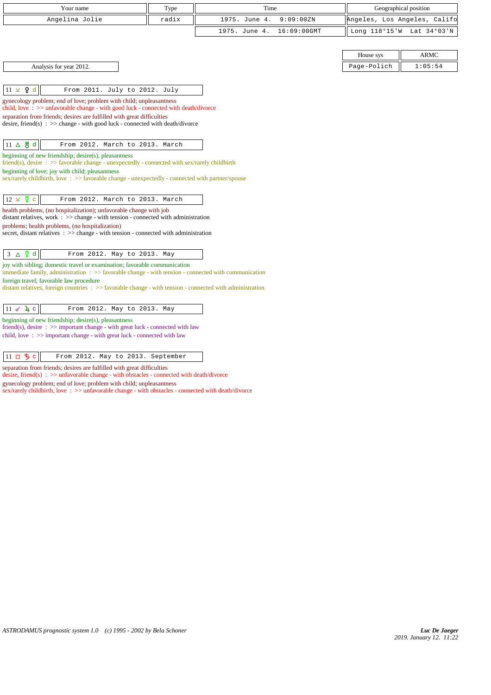| Your name                                                                                                                                                                         | Type  | Time          |             | Geographical position        |             |
|-----------------------------------------------------------------------------------------------------------------------------------------------------------------------------------|-------|---------------|-------------|------------------------------|-------------|
| Angelina Jolie                                                                                                                                                                    | radix | 1975. June 4. | 9:09:00ZN   | Angeles, Los Angeles, Califo |             |
|                                                                                                                                                                                   |       | 1975. June 4. | 16:09:00GMT | Long 118°15'W Lat 34°03'N    |             |
|                                                                                                                                                                                   |       |               |             | House sys                    | <b>ARMC</b> |
| Analysis for year 2012.                                                                                                                                                           |       |               |             | Page-Polich                  | 1:05:54     |
| $11 \times 9$ d<br>From 2011. July to 2012. July                                                                                                                                  |       |               |             |                              |             |
| gynecology problem; end of love; problem with child; unpleasantness<br>child, love: $\gg$ unfavorable change - with good luck - connected with death/divorce                      |       |               |             |                              |             |
| separation from friends; desires are fulfilled with great difficulties<br>desire, friend(s) : $\gg$ change - with good luck - connected with death/divorce                        |       |               |             |                              |             |
| $11 \Delta \frac{M}{Q} d$<br>From 2012. March to 2013. March                                                                                                                      |       |               |             |                              |             |
| beginning of new friendship; desire(s), pleasantness<br>friend(s), desire : $\gg$ favorable change - unexpectedly - connected with sex/rarely childbirth                          |       |               |             |                              |             |
| beginning of love; joy with child; pleasantness<br>sex/rarely childbirth, love: $\gg$ favorable change - unexpectedly - connected with partner/spouse                             |       |               |             |                              |             |
| $12 \times \xi$ c<br>From 2012. March to 2013. March                                                                                                                              |       |               |             |                              |             |
| health problems, (no hospitalization); unfavorable change with job<br>distant relatives, work : >> change - with tension - connected with administration                          |       |               |             |                              |             |
| problems; health problems, (no hospitalization)<br>secret, distant relatives $\therefore$ >> change - with tension - connected with administration                                |       |               |             |                              |             |
| $3 \Delta \xi d$<br>From 2012. May to 2013. May                                                                                                                                   |       |               |             |                              |             |
| joy with sibling; domestic travel or examination; favorable communication<br>immediate family, administration : >> favorable change - with tension - connected with communication |       |               |             |                              |             |
| foreign travel; favorable law procedure<br>distant relatives, foreign countries $\Rightarrow$ Savorable change - with tension - connected with administration                     |       |               |             |                              |             |
| $11 \times 4c$<br>From 2012. May to 2013. May                                                                                                                                     |       |               |             |                              |             |
| beginning of new friendship; desire(s), pleasantness<br>friend(s), desire $\Rightarrow$ important change - with great luck - connected with law                                   |       |               |             |                              |             |
| child, love: $\gg$ important change - with great luck - connected with law                                                                                                        |       |               |             |                              |             |
| $11$ ロ ち c<br>From 2012. May to 2013. September                                                                                                                                   |       |               |             |                              |             |

separation from friends; desires are fulfilled with great difficulties

desire, friend(s) : >> unfavorable change - with obstacles - connected with death/divorce

gynecology problem; end of love; problem with child; unpleasantness

sex/rarely childbirth, love :  $\gg$  unfavorable change - with obstacles - connected with death/divorce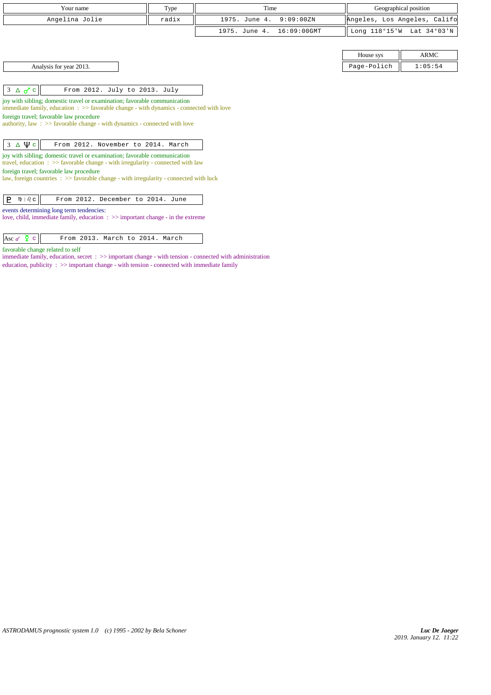| Your name                                                                                                                                                                       | Type  | Time                         | Geographical position        |             |
|---------------------------------------------------------------------------------------------------------------------------------------------------------------------------------|-------|------------------------------|------------------------------|-------------|
| Angelina Jolie                                                                                                                                                                  | radix | 1975. June 4.<br>9:09:00ZN   | Angeles, Los Angeles, Califo |             |
|                                                                                                                                                                                 |       | 1975. June 4.<br>16:09:00GMT | Long 118°15'W Lat 34°03'N    |             |
|                                                                                                                                                                                 |       |                              |                              |             |
|                                                                                                                                                                                 |       |                              | House sys                    | <b>ARMC</b> |
| Analysis for year 2013.                                                                                                                                                         |       |                              | Page-Polich                  | 1:05:54     |
|                                                                                                                                                                                 |       |                              |                              |             |
| $3 \Delta \sigma c$<br>From 2012. July to 2013. July                                                                                                                            |       |                              |                              |             |
| joy with sibling; domestic travel or examination; favorable communication<br>immediate family, education $\Rightarrow$ > favorable change - with dynamics - connected with love |       |                              |                              |             |
| foreign travel; favorable law procedure<br>authority, law: >> favorable change - with dynamics - connected with love                                                            |       |                              |                              |             |
| $3 \Delta \Psi c$<br>From 2012. November to 2014. March                                                                                                                         |       |                              |                              |             |
| joy with sibling; domestic travel or examination; favorable communication<br>travel, education $\Rightarrow$ Savorable change - with irregularity - connected with law          |       |                              |                              |             |
| foreign travel; favorable law procedure<br>law, foreign countries $\Rightarrow$ > favorable change - with irregularity - connected with luck                                    |       |                              |                              |             |
| From 2012. December to 2014. June<br>P<br>$m + \delta$ $c$                                                                                                                      |       |                              |                              |             |
| events determining long term tendencies:<br>love, child, immediate family, education $\Rightarrow$ important change - in the extreme                                            |       |                              |                              |             |

favorable change related to self

immediate family, education, secret :  $\gg$  important change - with tension - connected with administration education, publicity :  $\gg$  important change - with tension - connected with immediate family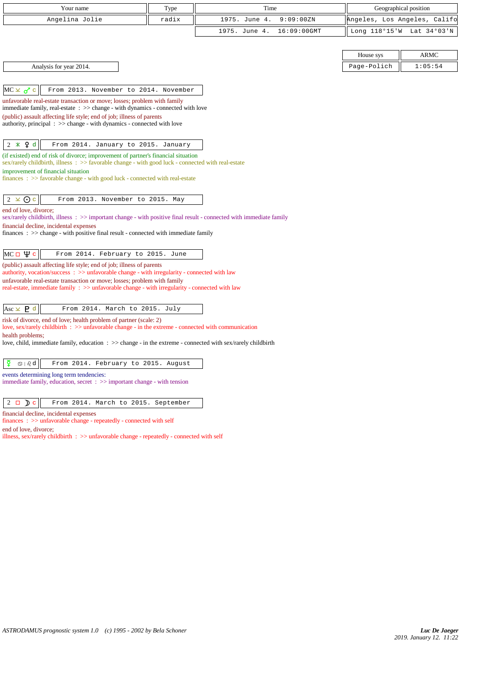| Your name                                                                                                                                                                             | Type  | Time                            |             | Geographical position        |
|---------------------------------------------------------------------------------------------------------------------------------------------------------------------------------------|-------|---------------------------------|-------------|------------------------------|
| Angelina Jolie                                                                                                                                                                        | radix | 1975. June 4.<br>9:09:00ZN      |             | Angeles, Los Angeles, Califo |
|                                                                                                                                                                                       |       | 1975. June 4.<br>$16:09:00$ GMT |             | Long 118°15'W Lat 34°03'N    |
|                                                                                                                                                                                       |       |                                 |             |                              |
|                                                                                                                                                                                       |       |                                 | House sys   | <b>ARMC</b>                  |
| Analysis for year 2014.                                                                                                                                                               |       |                                 | Page-Polich | 1:05:54                      |
|                                                                                                                                                                                       |       |                                 |             |                              |
| $MC \times \sigma^r$ c<br>From 2013. November to 2014. November                                                                                                                       |       |                                 |             |                              |
| unfavorable real-estate transaction or move; losses; problem with family<br>immediate family, real-estate : >> change - with dynamics - connected with love                           |       |                                 |             |                              |
| (public) assault affecting life style; end of job; illness of parents                                                                                                                 |       |                                 |             |                              |
| authority, principal $\Rightarrow$ > $\Rightarrow$ change - with dynamics - connected with love                                                                                       |       |                                 |             |                              |
| $2 * 9d$<br>From 2014. January to 2015. January                                                                                                                                       |       |                                 |             |                              |
| (if existed) end of risk of divorce; improvement of partner's financial situation                                                                                                     |       |                                 |             |                              |
| sex/rarely childbirth, illness: >> favorable change - with good luck - connected with real-estate                                                                                     |       |                                 |             |                              |
| improvement of financial situation<br>$finances : \gg$ favorable change - with good luck - connected with real-estate                                                                 |       |                                 |             |                              |
|                                                                                                                                                                                       |       |                                 |             |                              |
| $2 \times Qc$<br>From 2013. November to 2015. May                                                                                                                                     |       |                                 |             |                              |
| end of love, divorce;                                                                                                                                                                 |       |                                 |             |                              |
| sex/rarely childbirth, illness: >> important change - with positive final result - connected with immediate family<br>financial decline, incidental expenses                          |       |                                 |             |                              |
| finances : >> change - with positive final result - connected with immediate family                                                                                                   |       |                                 |             |                              |
|                                                                                                                                                                                       |       |                                 |             |                              |
| MCп $\psi$ с<br>From 2014. February to 2015. June                                                                                                                                     |       |                                 |             |                              |
| (public) assault affecting life style; end of job; illness of parents<br>authority, vocation/success: >> unfavorable change - with irregularity - connected with law                  |       |                                 |             |                              |
| unfavorable real-estate transaction or move; losses; problem with family<br>real-estate, immediate family $\therefore$ >> unfavorable change - with irregularity - connected with law |       |                                 |             |                              |
|                                                                                                                                                                                       |       |                                 |             |                              |
| Asc $\times$ <b>P</b> d<br>From 2014. March to 2015. July                                                                                                                             |       |                                 |             |                              |
| risk of divorce, end of love; health problem of partner (scale: 2)                                                                                                                    |       |                                 |             |                              |
| love, sex/rarely child birth $\Rightarrow$ unfavorable change - in the extreme - connected with communication                                                                         |       |                                 |             |                              |
| health problems;<br>love, child, immediate family, education $\Rightarrow$ > change - in the extreme - connected with sex/rarely childbirth                                           |       |                                 |             |                              |
|                                                                                                                                                                                       |       |                                 |             |                              |
| ₽<br>$\text{I} \otimes \text{I} \otimes \text{I}$<br>From 2014. February to 2015. August                                                                                              |       |                                 |             |                              |
| events determining long term tendencies:<br>immediate family, education, secret $\Rightarrow$ important change - with tension                                                         |       |                                 |             |                              |
|                                                                                                                                                                                       |       |                                 |             |                              |
| $2 \Box$ D c<br>From 2014. March to 2015. September                                                                                                                                   |       |                                 |             |                              |

financial decline, incidental expenses

finances : >> unfavorable change - repeatedly - connected with self end of love, divorce;

illness, sex/rarely childbirth  $\, : \, >>$  unfavorable change - repeatedly - connected with self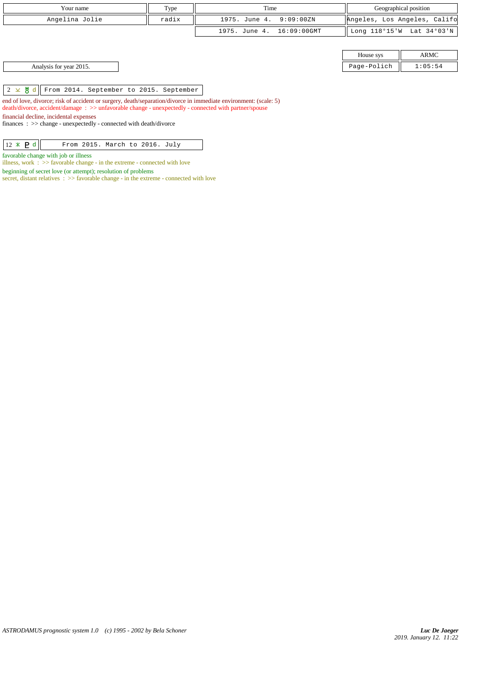| Your name      | Type  | Time                      | Geographical position                 |
|----------------|-------|---------------------------|---------------------------------------|
| Angelina Jolie | radix | 1975. June 4. 9:09:00ZN   | Angeles, Los Angeles, Califo          |
|                |       | 1975. June 4. 16:09:00GMT | $\parallel$ Long 118°15'W Lat 34°03'N |

| House sys   |  |
|-------------|--|
| Page-Polich |  |

Analysis for year 2015. Page-Polich 1:05:54

 $\begin{array}{|c|c|c|c|c|c|}\hline 2 & \times & \mathcal{B} & \mathcal{C} \end{array}$  From 2014. September to 2015. September

end of love, divorce; risk of accident or surgery, death/separation/divorce in immediate environment: (scale: 5) death/divorce, accident/damage : >> unfavorable change - unexpectedly - connected with partner/spouse financial decline, incidental expenses finances : >> change - unexpectedly - connected with death/divorce

 $\boxed{12 \times P d}$  From 2015. March to 2016. July

favorable change with job or illness

illness, work : >> favorable change - in the extreme - connected with love

beginning of secret love (or attempt); resolution of problems

secret, distant relatives :  $>$  favorable change - in the extreme - connected with love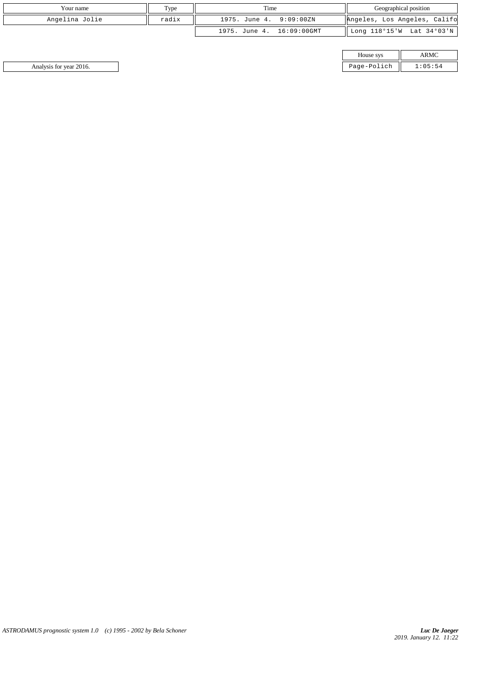| Your name      | Type  | Time<br>Geographical position |                              |
|----------------|-------|-------------------------------|------------------------------|
| Angelina Jolie | radix | 9:09:00ZN<br>1975. June 4.    | Angeles, Los Angeles, Califo |
|                |       | 16:09:00GMT<br>1975. June 4.  | Long 118°15'W Lat 34°03'N    |

| House sys   |  |  |
|-------------|--|--|
| Page-Polich |  |  |

Analysis for year 2016. Page-Polich 1:05:54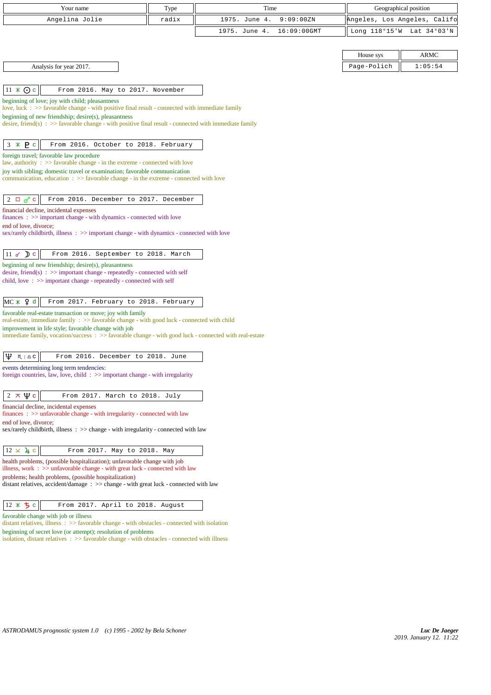| Your name                                                                                                                                                                   | Type  | Time                         | Geographical position        |             |
|-----------------------------------------------------------------------------------------------------------------------------------------------------------------------------|-------|------------------------------|------------------------------|-------------|
| Angelina Jolie                                                                                                                                                              | radix | 9:09:00ZN<br>1975. June 4.   | Angeles, Los Angeles, Califo |             |
|                                                                                                                                                                             |       | 1975. June 4.<br>16:09:00GMT | Long 118°15'W Lat 34°03'N    |             |
|                                                                                                                                                                             |       |                              |                              |             |
|                                                                                                                                                                             |       |                              | House sys                    | <b>ARMC</b> |
| Analysis for year 2017.                                                                                                                                                     |       |                              | Page-Polich                  | 1:05:54     |
|                                                                                                                                                                             |       |                              |                              |             |
| $11 \times Qc$<br>From 2016. May to 2017. November                                                                                                                          |       |                              |                              |             |
| beginning of love; joy with child; pleasantness<br>love, luck : >> favorable change - with positive final result - connected with immediate family                          |       |                              |                              |             |
| beginning of new friendship; desire(s), pleasantness                                                                                                                        |       |                              |                              |             |
| desire, friend(s) : $\gg$ favorable change - with positive final result - connected with immediate family                                                                   |       |                              |                              |             |
|                                                                                                                                                                             |       |                              |                              |             |
| $3 * P c$<br>From 2016. October to 2018. February<br>foreign travel; favorable law procedure                                                                                |       |                              |                              |             |
| law, authority : >> favorable change - in the extreme - connected with love                                                                                                 |       |                              |                              |             |
| joy with sibling; domestic travel or examination; favorable communication<br>communication, education $\Rightarrow$ favorable change - in the extreme - connected with love |       |                              |                              |             |
|                                                                                                                                                                             |       |                              |                              |             |
| $2 \Box \sigma$ <sup>c</sup><br>From 2016. December to 2017. December                                                                                                       |       |                              |                              |             |
| financial decline, incidental expenses                                                                                                                                      |       |                              |                              |             |
| $finances : \gg important change - with dynamics - connected with love$<br>end of love, divorce;                                                                            |       |                              |                              |             |
| sex/rarely childbirth, illness : >> important change - with dynamics - connected with love                                                                                  |       |                              |                              |             |
|                                                                                                                                                                             |       |                              |                              |             |
| $11 \times Dc$<br>From 2016. September to 2018. March                                                                                                                       |       |                              |                              |             |
| beginning of new friendship; desire(s), pleasantness<br>desire, friend(s) : $\gg$ important change - repeatedly - connected with self                                       |       |                              |                              |             |
| child, love: >> important change - repeatedly - connected with self                                                                                                         |       |                              |                              |             |
|                                                                                                                                                                             |       |                              |                              |             |
| $MC \times 9d$<br>From 2017. February to 2018. February<br>favorable real-estate transaction or move; joy with family                                                       |       |                              |                              |             |
| real-estate, immediate family: >> favorable change - with good luck - connected with child                                                                                  |       |                              |                              |             |
| improvement in life style; favorable change with job<br>immediate family, vocation/success: >> favorable change - with good luck - connected with real-estate               |       |                              |                              |             |
|                                                                                                                                                                             |       |                              |                              |             |
| Ψ<br>From 2016. December to 2018. June<br>$M \rvert \triangleq C$                                                                                                           |       |                              |                              |             |
| events determining long term tendencies:                                                                                                                                    |       |                              |                              |             |
| foreign countries, law, love, child $\Rightarrow$ important change - with irregularity                                                                                      |       |                              |                              |             |
| $\Psi$ c<br>2<br>大<br>From 2017. March to 2018. July                                                                                                                        |       |                              |                              |             |
| financial decline, incidental expenses                                                                                                                                      |       |                              |                              |             |
| $finances: \gg$ unfavorable change - with irregularity - connected with law                                                                                                 |       |                              |                              |             |
| end of love, divorce;<br>sex/rarely childbirth, illness : >> change - with irregularity - connected with law                                                                |       |                              |                              |             |
|                                                                                                                                                                             |       |                              |                              |             |
| $12 \times 4$ c<br>From 2017. May to 2018. May                                                                                                                              |       |                              |                              |             |
| health problems, (possible hospitalization); unfavorable change with job<br>illness, work $\Rightarrow$ >> unfavorable change - with great luck - connected with law        |       |                              |                              |             |
| problems; health problems, (possible hospitalization)                                                                                                                       |       |                              |                              |             |
| distant relatives, accident/damage : >> change - with great luck - connected with law                                                                                       |       |                              |                              |             |
| ちょ                                                                                                                                                                          |       |                              |                              |             |
| From 2017. April to 2018. August<br>$12 \times$<br>favorable change with job or illness                                                                                     |       |                              |                              |             |
|                                                                                                                                                                             |       |                              |                              |             |

distant relatives, illness : >> favorable change - with obstacles - connected with isolation beginning of secret love (or attempt); resolution of problems

isolation, distant relatives :  $\gg$  favorable change - with obstacles - connected with illness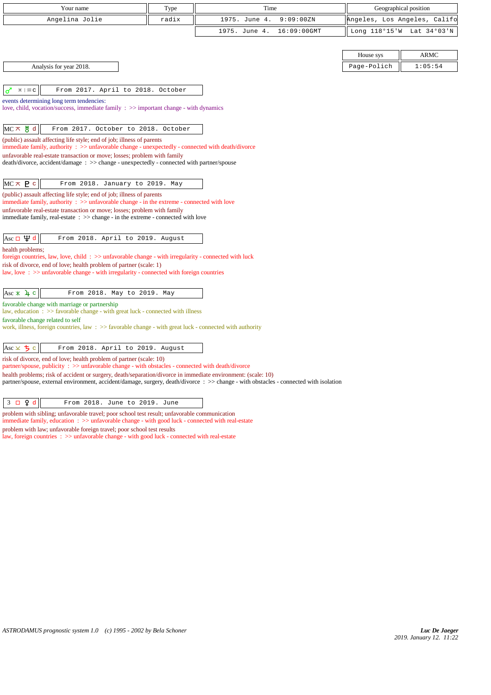| Your name                                                                                                                                                                                                                                                                                                                                                            | Type  | Time                                                                                                                                  | Geographical position        |             |
|----------------------------------------------------------------------------------------------------------------------------------------------------------------------------------------------------------------------------------------------------------------------------------------------------------------------------------------------------------------------|-------|---------------------------------------------------------------------------------------------------------------------------------------|------------------------------|-------------|
| Angelina Jolie                                                                                                                                                                                                                                                                                                                                                       | radix | 1975. June 4.<br>9:09:00ZN                                                                                                            | Angeles, Los Angeles, Califc |             |
|                                                                                                                                                                                                                                                                                                                                                                      |       | 1975. June 4.<br>16:09:00GMT                                                                                                          | Long 118°15'W                | Lat 34°03'N |
|                                                                                                                                                                                                                                                                                                                                                                      |       |                                                                                                                                       |                              |             |
|                                                                                                                                                                                                                                                                                                                                                                      |       |                                                                                                                                       | House sys                    | <b>ARMC</b> |
| Analysis for year 2018.                                                                                                                                                                                                                                                                                                                                              |       |                                                                                                                                       | Page-Polich                  | 1:05:54     |
|                                                                                                                                                                                                                                                                                                                                                                      |       |                                                                                                                                       |                              |             |
| $H \mid \mathfrak{m} \subset$<br>From 2017. April to 2018. October<br>$\sigma$                                                                                                                                                                                                                                                                                       |       |                                                                                                                                       |                              |             |
| events determining long term tendencies:<br>love, child, vocation/success, immediate family $\Rightarrow$ > important change - with dynamics                                                                                                                                                                                                                         |       |                                                                                                                                       |                              |             |
|                                                                                                                                                                                                                                                                                                                                                                      |       |                                                                                                                                       |                              |             |
| $MC \times$ 5 d<br>From 2017. October to 2018. October                                                                                                                                                                                                                                                                                                               |       |                                                                                                                                       |                              |             |
| (public) assault affecting life style; end of job; illness of parents<br>immediate family, authority: >> unfavorable change - unexpectedly - connected with death/divorce                                                                                                                                                                                            |       |                                                                                                                                       |                              |             |
| unfavorable real-estate transaction or move; losses; problem with family                                                                                                                                                                                                                                                                                             |       |                                                                                                                                       |                              |             |
| death/divorce, accident/damage : >> change - unexpectedly - connected with partner/spouse                                                                                                                                                                                                                                                                            |       |                                                                                                                                       |                              |             |
|                                                                                                                                                                                                                                                                                                                                                                      |       |                                                                                                                                       |                              |             |
| $MC \times P$ c<br>From 2018. January to 2019. May<br>(public) assault affecting life style; end of job; illness of parents                                                                                                                                                                                                                                          |       |                                                                                                                                       |                              |             |
| immediate family, authority $\therefore$ $\Rightarrow$ unfavorable change - in the extreme - connected with love                                                                                                                                                                                                                                                     |       |                                                                                                                                       |                              |             |
| unfavorable real-estate transaction or move; losses; problem with family<br>immediate family, real-estate $\therefore$ >> change - in the extreme - connected with love                                                                                                                                                                                              |       |                                                                                                                                       |                              |             |
|                                                                                                                                                                                                                                                                                                                                                                      |       |                                                                                                                                       |                              |             |
| Asc $\Box$ $\uparrow$ d<br>From 2018. April to 2019. August                                                                                                                                                                                                                                                                                                          |       |                                                                                                                                       |                              |             |
| health problems;                                                                                                                                                                                                                                                                                                                                                     |       |                                                                                                                                       |                              |             |
| foreign countries, law, love, child: $\gg$ unfavorable change - with irregularity - connected with luck<br>risk of divorce, end of love; health problem of partner (scale: 1)                                                                                                                                                                                        |       |                                                                                                                                       |                              |             |
| law, love: >> unfavorable change - with irregularity - connected with foreign countries                                                                                                                                                                                                                                                                              |       |                                                                                                                                       |                              |             |
|                                                                                                                                                                                                                                                                                                                                                                      |       |                                                                                                                                       |                              |             |
| Asc $\angle$ 4 c<br>From 2018. May to 2019. May<br>favorable change with marriage or partnership                                                                                                                                                                                                                                                                     |       |                                                                                                                                       |                              |             |
| law, education $\Rightarrow$ Solution $\Rightarrow$ Solution $\Rightarrow$ Solution $\Rightarrow$ Solution $\Rightarrow$ Solution $\Rightarrow$ Solution $\Rightarrow$ Solution $\Rightarrow$ Solution $\Rightarrow$ Solution $\Rightarrow$ Solution $\Rightarrow$ Solution $\Rightarrow$ Solution $\Rightarrow$ Solution $\Rightarrow$ Solution $\Rightarrow$ Solut |       |                                                                                                                                       |                              |             |
| favorable change related to self<br>work, illness, foreign countries, law $\Rightarrow$ > favorable change - with great luck - connected with authority                                                                                                                                                                                                              |       |                                                                                                                                       |                              |             |
|                                                                                                                                                                                                                                                                                                                                                                      |       |                                                                                                                                       |                              |             |
| Asc × ち c<br>From 2018. April to 2019. August                                                                                                                                                                                                                                                                                                                        |       |                                                                                                                                       |                              |             |
| risk of divorce, end of love; health problem of partner (scale: 10)                                                                                                                                                                                                                                                                                                  |       |                                                                                                                                       |                              |             |
| partner/spouse, publicity : >> unfavorable change - with obstacles - connected with death/divorce<br>health problems; risk of accident or surgery, death/separation/divorce in immediate environment: (scale: 10)                                                                                                                                                    |       |                                                                                                                                       |                              |             |
|                                                                                                                                                                                                                                                                                                                                                                      |       | partner/spouse, external environment, accident/damage, surgery, death/divorce : >> change - with obstacles - connected with isolation |                              |             |
|                                                                                                                                                                                                                                                                                                                                                                      |       |                                                                                                                                       |                              |             |
| $3 \square$ $9d$<br>From 2018. June to 2019. June<br>problem with sibling; unfavorable travel; poor school test result; unfavorable communication                                                                                                                                                                                                                    |       |                                                                                                                                       |                              |             |
| immediate family, education : >> unfavorable change - with good luck - connected with real-estate                                                                                                                                                                                                                                                                    |       |                                                                                                                                       |                              |             |

problem with law; unfavorable foreign travel; poor school test results

law, foreign countries : >> unfavorable change - with good luck - connected with real-estate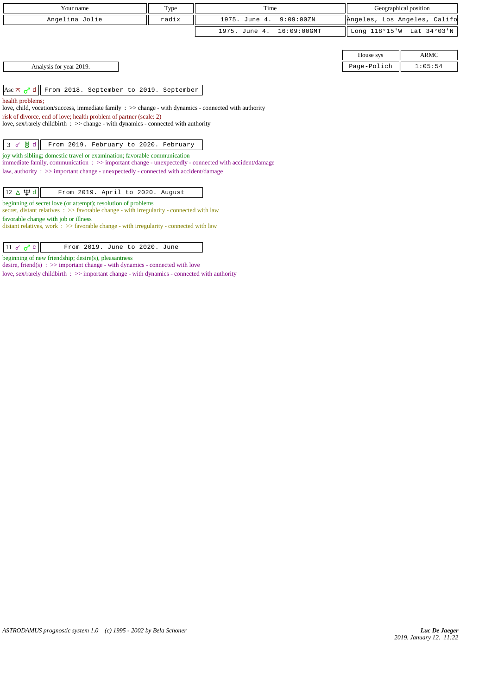| Your name      | Type  | Time<br>Geographical position |                              |
|----------------|-------|-------------------------------|------------------------------|
| Angelina Jolie | radix | 1975. June 4. 9:09:00ZN       | Angeles, Los Angeles, Califo |
|                |       | 1975. June 4. 16:09:00GMT     | Long 118°15'W Lat 34°03'N    |

| House sys |  |
|-----------|--|
|           |  |

Analysis for year 2019.

Asc  $\pi$   $\sigma$ <sup>d</sup> d From 2018. September to 2019. September

health problems;

love, child, vocation/success, immediate family : >> change - with dynamics - connected with authority

risk of divorce, end of love; health problem of partner (scale: 2)

love, sex/rarely childbirth : >> change - with dynamics - connected with authority

## $3 \times 8 d$  | From 2019. February to 2020. February

joy with sibling; domestic travel or examination; favorable communication immediate family, communication : >> important change - unexpectedly - connected with accident/damage law, authority : >> important change - unexpectedly - connected with accident/damage

| $12 \triangle \Psi d$<br>From 2019. April to 2020. August |  |
|-----------------------------------------------------------|--|
|-----------------------------------------------------------|--|

beginning of secret love (or attempt); resolution of problems

secret, distant relatives : >> favorable change - with irregularity - connected with law favorable change with job or illness

distant relatives, work : >> favorable change - with irregularity - connected with law

| $\vert$ 11<br>From 2019. June to 2020. |  |
|----------------------------------------|--|
|----------------------------------------|--|

beginning of new friendship; desire(s), pleasantness

desire, friend(s) : >> important change - with dynamics - connected with love love, sex/rarely childbirth :  $\gg$  important change - with dynamics - connected with authority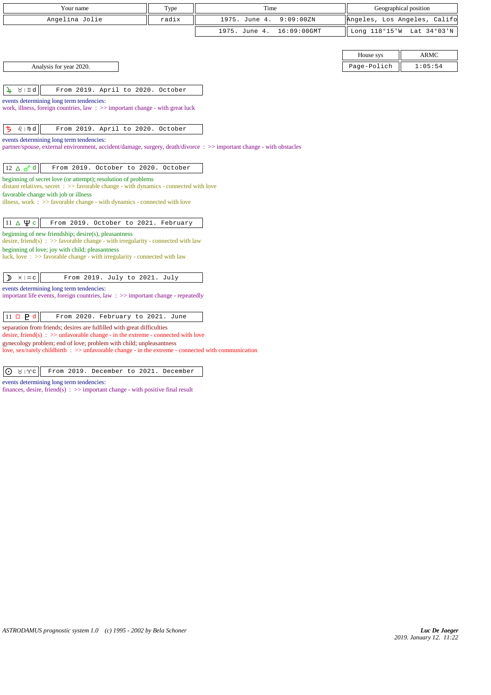| Your name                                                                                                                                   | Type  | Time                         | Geographical position        |                           |
|---------------------------------------------------------------------------------------------------------------------------------------------|-------|------------------------------|------------------------------|---------------------------|
| Angelina Jolie                                                                                                                              | radix | 1975. June 4.<br>9:09:00ZN   | Angeles, Los Angeles, Califo |                           |
|                                                                                                                                             |       | 1975. June 4.<br>16:09:00GMT |                              | Long 118°15'W Lat 34°03'N |
|                                                                                                                                             |       |                              |                              |                           |
|                                                                                                                                             |       |                              | House sys                    | <b>ARMC</b>               |
| Analysis for year 2020.                                                                                                                     |       |                              | Page-Polich                  | 1:05:54                   |
|                                                                                                                                             |       |                              |                              |                           |
| $\lambda$   II q<br>From 2019. April to 2020. October<br>$\mathbf{u}$                                                                       |       |                              |                              |                           |
| events determining long term tendencies:                                                                                                    |       |                              |                              |                           |
| work, illness, foreign countries, law : >> important change - with great luck                                                               |       |                              |                              |                           |
| ち<br>$Q + \mathfrak{m}$ d<br>From 2019. April to 2020. October                                                                              |       |                              |                              |                           |
| events determining long term tendencies:                                                                                                    |       |                              |                              |                           |
| partner/spouse, external environment, accident/damage, surgery, death/divorce: >> important change - with obstacles                         |       |                              |                              |                           |
|                                                                                                                                             |       |                              |                              |                           |
| $12 \triangle \sigma d$<br>From 2019. October to 2020. October                                                                              |       |                              |                              |                           |
| beginning of secret love (or attempt); resolution of problems                                                                               |       |                              |                              |                           |
| distant relatives, secret : >> favorable change - with dynamics - connected with love<br>favorable change with job or illness               |       |                              |                              |                           |
| illness, work : >> favorable change - with dynamics - connected with love                                                                   |       |                              |                              |                           |
|                                                                                                                                             |       |                              |                              |                           |
| $11 \Delta \Psi c$<br>From 2019. October to 2021. February                                                                                  |       |                              |                              |                           |
| beginning of new friendship; desire(s), pleasantness<br>desire, friend(s) : $\gg$ favorable change - with irregularity - connected with law |       |                              |                              |                           |
| beginning of love; joy with child; pleasantness                                                                                             |       |                              |                              |                           |
| luck, love: >> favorable change - with irregularity - connected with law                                                                    |       |                              |                              |                           |
|                                                                                                                                             |       |                              |                              |                           |
| From 2019. July to 2021. July<br>⊅<br>$H \mid \mathfrak{m}$ C                                                                               |       |                              |                              |                           |
| events determining long term tendencies:<br>important life events, foreign countries, law $\Rightarrow$ important change - repeatedly       |       |                              |                              |                           |
|                                                                                                                                             |       |                              |                              |                           |
| $11 \square$ <b>P</b> d<br>From 2020. February to 2021. June                                                                                |       |                              |                              |                           |
| separation from friends; desires are fulfilled with great difficulties                                                                      |       |                              |                              |                           |
| desire, friend(s) : $\gg$ unfavorable change - in the extreme - connected with love                                                         |       |                              |                              |                           |
| gynecology problem; end of love; problem with child; unpleasantness                                                                         |       |                              |                              |                           |

love, sex/rarely childbirth : >> unfavorable change - in the extreme - connected with communication

0 8 | Yc | From 2019. December to 2021. December

events determining long term tendencies:

finances, desire, friend(s) :  $\gg$  important change - with positive final result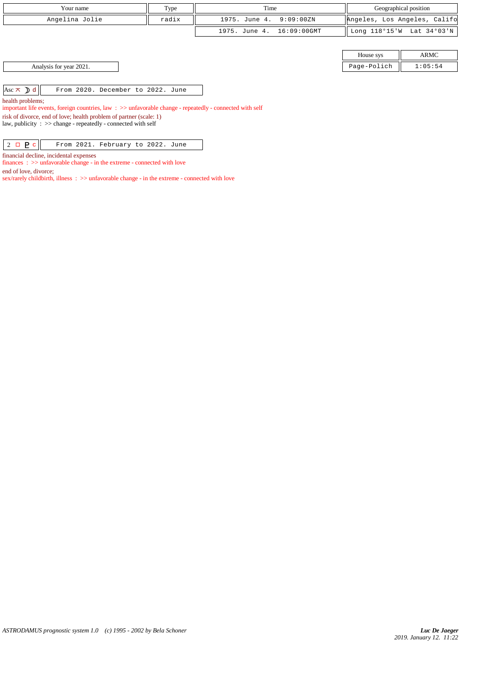| Your name                                                                                                                      | Type  | Time                         | Geographical position |                              |
|--------------------------------------------------------------------------------------------------------------------------------|-------|------------------------------|-----------------------|------------------------------|
| Angelina Jolie                                                                                                                 | radix | 1975. June 4.<br>9:09:00ZN   |                       | Angeles, Los Angeles, Califo |
|                                                                                                                                |       | 16:09:00GMT<br>1975. June 4. |                       | Long 118°15'W Lat 34°03'N    |
|                                                                                                                                |       |                              |                       |                              |
|                                                                                                                                |       |                              | House sys             | <b>ARMC</b>                  |
| Analysis for year 2021.                                                                                                        |       |                              | Page-Polich           | 1:05:54                      |
|                                                                                                                                |       |                              |                       |                              |
| Asc $\pi$ d<br>From 2020. December to 2022. June                                                                               |       |                              |                       |                              |
| health problems;<br>important life events, foreign countries, law: $\gg$ unfavorable change - repeatedly - connected with self |       |                              |                       |                              |

risk of divorce, end of love; health problem of partner (scale: 1)

law, publicity : >> change - repeatedly - connected with self

 $\boxed{2 \Box \underline{P} c}$  From 2021. February to 2022. June

financial decline, incidental expenses

finances :  $\gg$  unfavorable change - in the extreme - connected with love

end of love, divorce;

sex/rarely childbirth, illness : >> unfavorable change - in the extreme - connected with love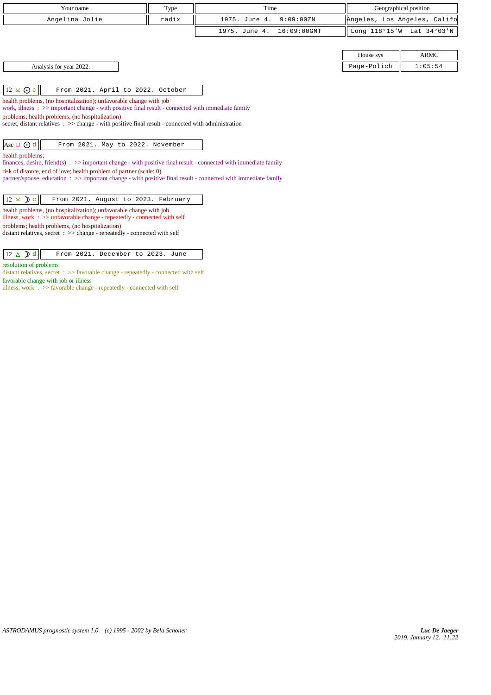| Your name                                                                                                                                                         | Type  | Time                         | Geographical position        |             |
|-------------------------------------------------------------------------------------------------------------------------------------------------------------------|-------|------------------------------|------------------------------|-------------|
| Angelina Jolie                                                                                                                                                    | radix | 1975. June 4.<br>9:09:00ZN   | Angeles, Los Angeles, Califo |             |
|                                                                                                                                                                   |       | 1975. June 4.<br>16:09:00GMT | Long 118°15'W Lat 34°03'N    |             |
|                                                                                                                                                                   |       |                              |                              |             |
|                                                                                                                                                                   |       |                              | House sys                    | <b>ARMC</b> |
| Analysis for year 2022.                                                                                                                                           |       |                              | Page-Polich                  | 1:05:54     |
|                                                                                                                                                                   |       |                              |                              |             |
| $12 \times 0$ c<br>From 2021. April to 2022. October                                                                                                              |       |                              |                              |             |
| health problems, (no hospitalization); unfavorable change with job                                                                                                |       |                              |                              |             |
| work, illness $\Rightarrow$ >> important change - with positive final result - connected with immediate family<br>problems; health problems, (no hospitalization) |       |                              |                              |             |
| secret, distant relatives $\therefore$ > change - with positive final result - connected with administration                                                      |       |                              |                              |             |
|                                                                                                                                                                   |       |                              |                              |             |
| Asc $\Box$ $\odot$ d<br>From 2021. May to 2022. November                                                                                                          |       |                              |                              |             |
| health problems;<br>finances, desire, friend(s) : $\gg$ important change - with positive final result - connected with immediate family                           |       |                              |                              |             |
| risk of divorce, end of love; health problem of partner (scale: 0)                                                                                                |       |                              |                              |             |
| partner/spouse, education: >> important change - with positive final result - connected with immediate family                                                     |       |                              |                              |             |
|                                                                                                                                                                   |       |                              |                              |             |
| $12 \times D$ c<br>From 2021. August to 2023. February                                                                                                            |       |                              |                              |             |
| health problems, (no hospitalization); unfavorable change with job<br>illness, work $\Rightarrow$ >> unfavorable change - repeatedly - connected with self        |       |                              |                              |             |
| problems; health problems, (no hospitalization)<br>distant relatives, secret : >> change - repeatedly - connected with self                                       |       |                              |                              |             |

 $\boxed{12 \Delta \mathbf{D} d}$  From 2021. December to 2023. June

resolution of problems

distant relatives, secret : >> favorable change - repeatedly - connected with self favorable change with job or illness

illness, work : >> favorable change - repeatedly - connected with self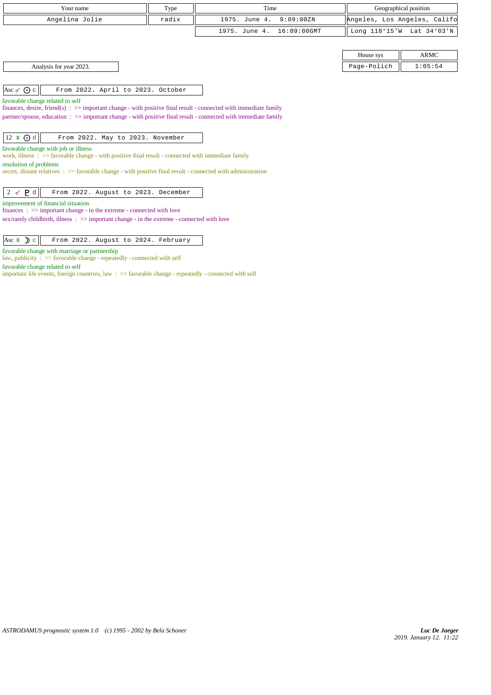| Your name                                                                                                                                       | Type  | Time                         | Geographical position        |             |
|-------------------------------------------------------------------------------------------------------------------------------------------------|-------|------------------------------|------------------------------|-------------|
| Angelina Jolie                                                                                                                                  | radix | 1975. June 4.<br>9:09:00ZN   | Angeles, Los Angeles, Califo |             |
|                                                                                                                                                 |       | 16:09:00GMT<br>1975. June 4. | Long 118°15'W Lat 34°03'N    |             |
|                                                                                                                                                 |       |                              |                              |             |
|                                                                                                                                                 |       |                              | House sys                    | <b>ARMC</b> |
| Analysis for year 2023.                                                                                                                         |       |                              | Page-Polich                  | 1:05:54     |
|                                                                                                                                                 |       |                              |                              |             |
| Asc of $\odot$ c<br>From 2022. April to 2023. October                                                                                           |       |                              |                              |             |
| favorable change related to self                                                                                                                |       |                              |                              |             |
| finances, desire, friend(s) $\Rightarrow$ >> important change - with positive final result - connected with immediate family                    |       |                              |                              |             |
| partner/spouse, education : >> important change - with positive final result - connected with immediate family                                  |       |                              |                              |             |
| $12 \times Qd$<br>From 2022. May to 2023. November                                                                                              |       |                              |                              |             |
| favorable change with job or illness                                                                                                            |       |                              |                              |             |
| work, illness : >> favorable change - with positive final result - connected with immediate family                                              |       |                              |                              |             |
| resolution of problems<br>secret, distant relatives $\Rightarrow$ favorable change - with positive final result - connected with administration |       |                              |                              |             |
|                                                                                                                                                 |       |                              |                              |             |
| $2d$ $\leq$ $2d$<br>From 2022. August to 2023. December                                                                                         |       |                              |                              |             |
| improvement of financial situation                                                                                                              |       |                              |                              |             |
| finances : $\gg$ important change - in the extreme - connected with love                                                                        |       |                              |                              |             |
| $sex/rarely childbirth$ , illness : $\gg$ important change - in the extreme - connected with love                                               |       |                              |                              |             |
|                                                                                                                                                 |       |                              |                              |             |

 $\begin{array}{|l|} \hline \end{array}$  Asc  $\mathcal{R}$   $\mathcal{L}$  From 2022. August to 2024. February

favorable change with marriage or partnership

law, publicity : >> favorable change - repeatedly - connected with self

favorable change related to self

important life events, foreign countries, law : >> favorable change - repeatedly - connected with self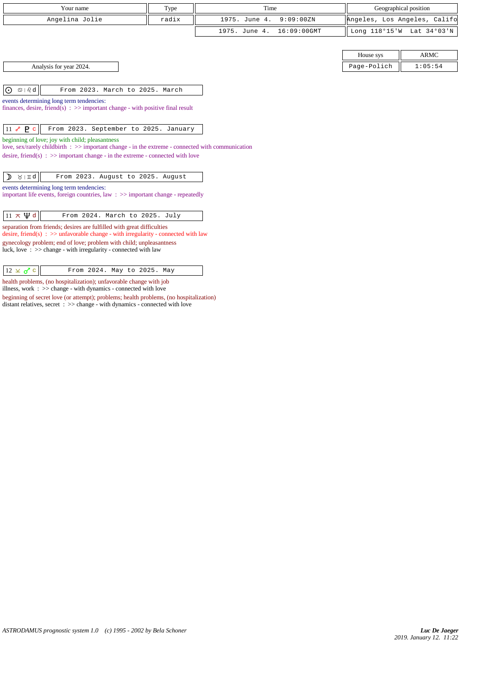| Your name                                                                                                                             | Type  | Time                       |             | Geographical position        |         |
|---------------------------------------------------------------------------------------------------------------------------------------|-------|----------------------------|-------------|------------------------------|---------|
| Angelina Jolie                                                                                                                        | radix | 1975. June 4.<br>9:09:00ZN |             | Angeles, Los Angeles, Califo |         |
|                                                                                                                                       |       | 1975. June 4.              | 16:09:00GMT | Long 118°15'W Lat 34°03'N    |         |
|                                                                                                                                       |       |                            |             |                              |         |
|                                                                                                                                       |       |                            |             | House sys                    | ARMC    |
| Analysis for year 2024.                                                                                                               |       |                            |             | Page-Polich                  | 1:05:54 |
|                                                                                                                                       |       |                            |             |                              |         |
| $\odot$<br>$\mathbb{S} \mid \mathcal{Q}$ d<br>From 2023. March to 2025. March                                                         |       |                            |             |                              |         |
| events determining long term tendencies:                                                                                              |       |                            |             |                              |         |
| finances, desire, friend(s) $\Rightarrow$ >> important change - with positive final result                                            |       |                            |             |                              |         |
| $11 \times P c$<br>From 2023. September to 2025. January                                                                              |       |                            |             |                              |         |
| beginning of love; joy with child; pleasantness                                                                                       |       |                            |             |                              |         |
| love, sex/rarely childbirth $\Rightarrow$ important change - in the extreme - connected with communication                            |       |                            |             |                              |         |
| desire, friend(s) : $\gg$ important change - in the extreme - connected with love                                                     |       |                            |             |                              |         |
|                                                                                                                                       |       |                            |             |                              |         |
| $\lambda$   $\pi q$  <br>From 2023. August to 2025. August<br>$\mathcal{D}$                                                           |       |                            |             |                              |         |
| events determining long term tendencies:<br>important life events, foreign countries, law $\Rightarrow$ important change - repeatedly |       |                            |             |                              |         |

 $\boxed{11 \times \Psi d}$  From 2024. March to 2025. July separation from friends; desires are fulfilled with great difficulties

gynecology problem; end of love; problem with child; unpleasantness luck, love  $\therefore$  >> change - with irregularity - connected with law

 $12 \times 2^7$  c From 2024. May to 2025. May health problems, (no hospitalization); unfavorable change with job illness, work : >> change - with dynamics - connected with love

desire, friend(s) :  $\gg$  unfavorable change - with irregularity - connected with law

beginning of secret love (or attempt); problems; health problems, (no hospitalization) distant relatives, secret : >> change - with dynamics - connected with love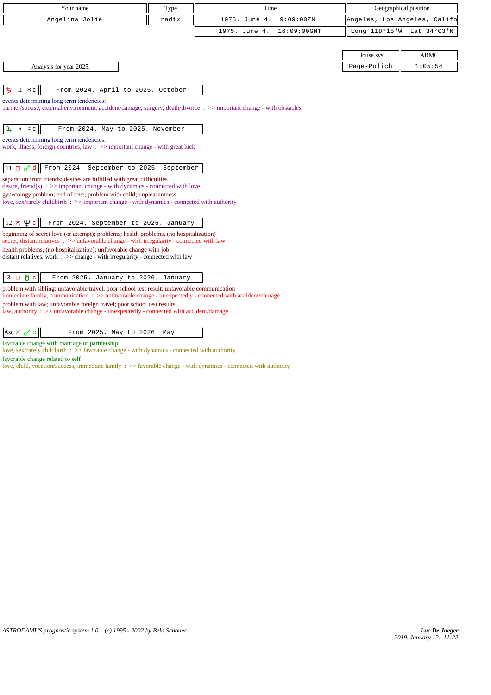| Your name                                                                                                                                                                         | Type  | Time                         | Geographical position        |             |
|-----------------------------------------------------------------------------------------------------------------------------------------------------------------------------------|-------|------------------------------|------------------------------|-------------|
| Angelina Jolie                                                                                                                                                                    | radix | 1975. June 4.<br>9:09:00ZN   | Angeles, Los Angeles, Califo |             |
|                                                                                                                                                                                   |       | 1975. June 4.<br>16:09:00GMT | Long 118°15'W Lat 34°03'N    |             |
|                                                                                                                                                                                   |       |                              |                              |             |
|                                                                                                                                                                                   |       |                              | House sys                    | <b>ARMC</b> |
| Analysis for year 2025.                                                                                                                                                           |       |                              | Page-Polich                  | 1:05:54     |
|                                                                                                                                                                                   |       |                              |                              |             |
| ち<br>From 2024. April to 2025. October<br>II   Xc                                                                                                                                 |       |                              |                              |             |
| events determining long term tendencies:<br>partner/spouse, external environment, accident/damage, surgery, death/divorce: >> important change - with obstacles                   |       |                              |                              |             |
|                                                                                                                                                                                   |       |                              |                              |             |
| From 2024. May to 2025. November<br>4<br>$H \mid \mathfrak{m} \subset$                                                                                                            |       |                              |                              |             |
| events determining long term tendencies:                                                                                                                                          |       |                              |                              |             |
| work, illness, foreign countries, law $\Rightarrow$ important change - with great luck                                                                                            |       |                              |                              |             |
| 11 $\Box$ $\sigma$ <sup>7</sup> d   From 2024. September to 2025. September                                                                                                       |       |                              |                              |             |
| separation from friends; desires are fulfilled with great difficulties                                                                                                            |       |                              |                              |             |
| desire, friend(s) : $\gg$ important change - with dynamics - connected with love                                                                                                  |       |                              |                              |             |
| gynecology problem; end of love; problem with child; unpleasantness<br>love, sex/rarely childbirth : >> important change - with dynamics - connected with authority               |       |                              |                              |             |
|                                                                                                                                                                                   |       |                              |                              |             |
| $12 \times \Psi$ c<br>From 2024. September to 2026. January                                                                                                                       |       |                              |                              |             |
| beginning of secret love (or attempt); problems; health problems, (no hospitalization)                                                                                            |       |                              |                              |             |
| secret, distant relatives : >> unfavorable change - with irregularity - connected with law                                                                                        |       |                              |                              |             |
| health problems, (no hospitalization); unfavorable change with job<br>distant relatives, work $\Rightarrow$ >> change - with irregularity - connected with law                    |       |                              |                              |             |
|                                                                                                                                                                                   |       |                              |                              |             |
| $3 \Box \text{g} c$<br>From 2025. January to 2026. January                                                                                                                        |       |                              |                              |             |
| problem with sibling; unfavorable travel; poor school test result; unfavorable communication                                                                                      |       |                              |                              |             |
| immediate family, communication : >> unfavorable change - unexpectedly - connected with accident/damage<br>problem with law; unfavorable foreign travel; poor school test results |       |                              |                              |             |
| law, authority : $\gg$ unfavorable change - unexpectedly - connected with accident/damage                                                                                         |       |                              |                              |             |

| $ $ Asc $\angle \sim$ $\sim$ $ $ |  | From 2025. May to 2026. May |  |  |  |  |  |
|----------------------------------|--|-----------------------------|--|--|--|--|--|
|----------------------------------|--|-----------------------------|--|--|--|--|--|

favorable change with marriage or partnership

love, sex/rarely childbirth : >> favorable change - with dynamics - connected with authority

favorable change related to self love, child, vocation/success, immediate family : >> favorable change - with dynamics - connected with authority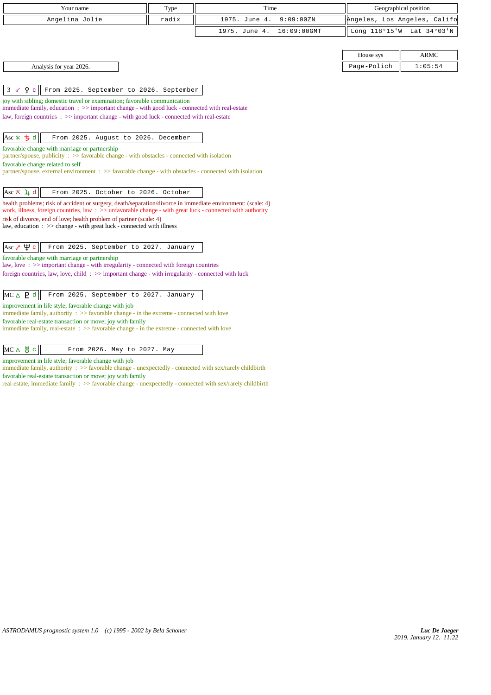| Your name                                                                                                                                                                                                                | Type  | Time                         | Geographical position        |             |  |  |
|--------------------------------------------------------------------------------------------------------------------------------------------------------------------------------------------------------------------------|-------|------------------------------|------------------------------|-------------|--|--|
| Angelina Jolie                                                                                                                                                                                                           | radix | 1975. June 4.<br>9:09:00ZN   | Angeles, Los Angeles, Califo |             |  |  |
|                                                                                                                                                                                                                          |       | 1975. June 4.<br>16:09:00GMT | Long 118°15'W Lat 34°03'N    |             |  |  |
|                                                                                                                                                                                                                          |       |                              |                              |             |  |  |
|                                                                                                                                                                                                                          |       |                              | House sys                    | <b>ARMC</b> |  |  |
| Analysis for year 2026.                                                                                                                                                                                                  |       |                              | Page-Polich                  | 1:05:54     |  |  |
|                                                                                                                                                                                                                          |       |                              |                              |             |  |  |
| $Q_{\rm c}$<br>From 2025. September to 2026. September<br>3 <sub>0</sub>                                                                                                                                                 |       |                              |                              |             |  |  |
| joy with sibling; domestic travel or examination; favorable communication                                                                                                                                                |       |                              |                              |             |  |  |
| immediate family, education : >> important change - with good luck - connected with real-estate<br>law, foreign countries : >> important change - with good luck - connected with real-estate                            |       |                              |                              |             |  |  |
|                                                                                                                                                                                                                          |       |                              |                              |             |  |  |
| $Asc \times 5d$<br>From 2025. August to 2026. December                                                                                                                                                                   |       |                              |                              |             |  |  |
| favorable change with marriage or partnership                                                                                                                                                                            |       |                              |                              |             |  |  |
| partner/spouse, publicity : $\gg$ favorable change - with obstacles - connected with isolation                                                                                                                           |       |                              |                              |             |  |  |
| favorable change related to self<br>partner/spouse, external environment : >> favorable change - with obstacles - connected with isolation                                                                               |       |                              |                              |             |  |  |
|                                                                                                                                                                                                                          |       |                              |                              |             |  |  |
| Asc $\pi$ 4 d<br>From 2025. October to 2026. October                                                                                                                                                                     |       |                              |                              |             |  |  |
| health problems; risk of accident or surgery, death/separation/divorce in immediate environment: (scale: 4)<br>work, illness, foreign countries, law: >> unfavorable change - with great luck - connected with authority |       |                              |                              |             |  |  |
| risk of divorce, end of love; health problem of partner (scale: 4)                                                                                                                                                       |       |                              |                              |             |  |  |
| law, education : >> change - with great luck - connected with illness                                                                                                                                                    |       |                              |                              |             |  |  |
|                                                                                                                                                                                                                          |       |                              |                              |             |  |  |
| Asc $\sqrt{4}$ $\sigma$<br>From 2025. September to 2027. January                                                                                                                                                         |       |                              |                              |             |  |  |
| favorable change with marriage or partnership<br>law, love: $\gg$ important change - with irregularity - connected with foreign countries                                                                                |       |                              |                              |             |  |  |
| foreign countries, law, love, child: >> important change - with irregularity - connected with luck                                                                                                                       |       |                              |                              |             |  |  |
|                                                                                                                                                                                                                          |       |                              |                              |             |  |  |
| From 2025. September to 2027. January<br>$MC \triangle \bigtriangledown$ d                                                                                                                                               |       |                              |                              |             |  |  |
| improvement in life style; favorable change with job                                                                                                                                                                     |       |                              |                              |             |  |  |
| immediate family, authority $\therefore$ >> favorable change - in the extreme - connected with love<br>favorable real-estate transaction or move; joy with family                                                        |       |                              |                              |             |  |  |
| immediate family, real-estate $\Rightarrow$ favorable change - in the extreme - connected with love                                                                                                                      |       |                              |                              |             |  |  |
|                                                                                                                                                                                                                          |       |                              |                              |             |  |  |
| $MC \triangle$ $\frac{1}{6}$ $c$<br>From 2026. May to 2027. May                                                                                                                                                          |       |                              |                              |             |  |  |

improvement in life style; favorable change with job

immediate family, authority : >> favorable change - unexpectedly - connected with sex/rarely childbirth

favorable real-estate transaction or move; joy with family

real-estate, immediate family :  $\gg$  favorable change - unexpectedly - connected with sex/rarely childbirth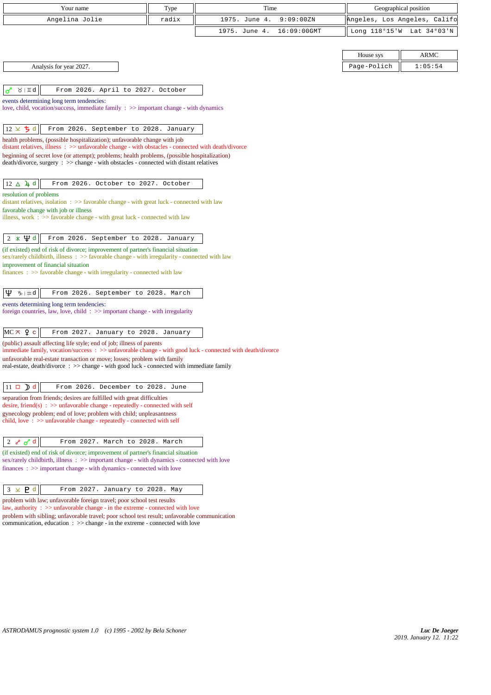| Your name                                                                                                                                                                              | Type  | Time          |                | Geographical position        |         |
|----------------------------------------------------------------------------------------------------------------------------------------------------------------------------------------|-------|---------------|----------------|------------------------------|---------|
| Angelina Jolie                                                                                                                                                                         | radix | 1975. June 4. | 9:09:00ZN      | Angeles, Los Angeles, Califo |         |
|                                                                                                                                                                                        |       |               |                |                              |         |
|                                                                                                                                                                                        |       | 1975. June 4. | $16:09:00$ GMT | Long 118°15'W Lat 34°03'N    |         |
|                                                                                                                                                                                        |       |               |                |                              |         |
|                                                                                                                                                                                        |       |               |                | House sys                    | ARMC    |
| Analysis for year 2027.                                                                                                                                                                |       |               |                | Page-Polich                  | 1:05:54 |
|                                                                                                                                                                                        |       |               |                |                              |         |
| From 2026. April to 2027. October<br>$\lambda$   II q<br>ഗ                                                                                                                             |       |               |                |                              |         |
| events determining long term tendencies:                                                                                                                                               |       |               |                |                              |         |
| love, child, vocation/success, immediate family $\Rightarrow$ >> important change - with dynamics                                                                                      |       |               |                |                              |         |
| $12 \times 5$ d<br>From 2026. September to 2028. January                                                                                                                               |       |               |                |                              |         |
| health problems, (possible hospitalization); unfavorable change with job                                                                                                               |       |               |                |                              |         |
| distant relatives, illness : >> unfavorable change - with obstacles - connected with death/divorce                                                                                     |       |               |                |                              |         |
| beginning of secret love (or attempt); problems; health problems, (possible hospitalization)<br>death/divorce, surgery : >> change - with obstacles - connected with distant relatives |       |               |                |                              |         |
|                                                                                                                                                                                        |       |               |                |                              |         |
| $12 \Delta \cancel{4} d$<br>From 2026. October to 2027. October                                                                                                                        |       |               |                |                              |         |
| resolution of problems                                                                                                                                                                 |       |               |                |                              |         |
| distant relatives, isolation: >> favorable change - with great luck - connected with law                                                                                               |       |               |                |                              |         |
| favorable change with job or illness<br>illness, work $\Rightarrow$ favorable change - with great luck - connected with law                                                            |       |               |                |                              |         |
|                                                                                                                                                                                        |       |               |                |                              |         |
| $2 \times \Psi d$<br>From 2026. September to 2028. January                                                                                                                             |       |               |                |                              |         |
| (if existed) end of risk of divorce; improvement of partner's financial situation                                                                                                      |       |               |                |                              |         |
| sex/rarely childbirth, illness : >> favorable change - with irregularity - connected with law                                                                                          |       |               |                |                              |         |
| improvement of financial situation<br>$finances : \gg$ favorable change - with irregularity - connected with law                                                                       |       |               |                |                              |         |
|                                                                                                                                                                                        |       |               |                |                              |         |
| Ψ<br>$\n  y$ $\infty$ $d$<br>From 2026. September to 2028. March                                                                                                                       |       |               |                |                              |         |
| events determining long term tendencies:                                                                                                                                               |       |               |                |                              |         |
| foreign countries, law, love, child: >> important change - with irregularity                                                                                                           |       |               |                |                              |         |
|                                                                                                                                                                                        |       |               |                |                              |         |
| $MC \times 9$ c<br>From 2027. January to 2028. January                                                                                                                                 |       |               |                |                              |         |
| (public) assault affecting life style; end of job; illness of parents<br>immediate family, vocation/success : >> unfavorable change - with good luck - connected with death/divorce    |       |               |                |                              |         |
| unfavorable real-estate transaction or move; losses; problem with family                                                                                                               |       |               |                |                              |         |
| real-estate, death/divorce: >> change - with good luck - connected with immediate family                                                                                               |       |               |                |                              |         |
| $11 \Box$ d<br>From 2026. December to 2028. June                                                                                                                                       |       |               |                |                              |         |
| separation from friends; desires are fulfilled with great difficulties                                                                                                                 |       |               |                |                              |         |
| desire, friend(s) : $\gg$ unfavorable change - repeatedly - connected with self                                                                                                        |       |               |                |                              |         |
| gynecology problem; end of love; problem with child; unpleasantness<br>child, love $\Rightarrow$ >> unfavorable change - repeatedly - connected with self                              |       |               |                |                              |         |
|                                                                                                                                                                                        |       |               |                |                              |         |
| $2 \in \sigma d$<br>From 2027. March to 2028. March                                                                                                                                    |       |               |                |                              |         |
| (if existed) end of risk of divorce; improvement of partner's financial situation                                                                                                      |       |               |                |                              |         |
| sex/rarely childbirth, illness: >> important change - with dynamics - connected with love                                                                                              |       |               |                |                              |         |
| $finances: \gg important change - with dynamics - connected with love$                                                                                                                 |       |               |                |                              |         |
|                                                                                                                                                                                        |       |               |                |                              |         |
| $3 \times$ <b>P</b> d<br>From 2027. January to 2028. May                                                                                                                               |       |               |                |                              |         |
| problem with law; unfavorable foreign travel; poor school test results<br>law, authority $\Rightarrow$ unfavorable change - in the extreme - connected with love                       |       |               |                |                              |         |
| problem with sibling; unfavorable travel; poor school test result; unfavorable communication                                                                                           |       |               |                |                              |         |
| communication, education $\Rightarrow$ $\Rightarrow$ change - in the extreme - connected with love                                                                                     |       |               |                |                              |         |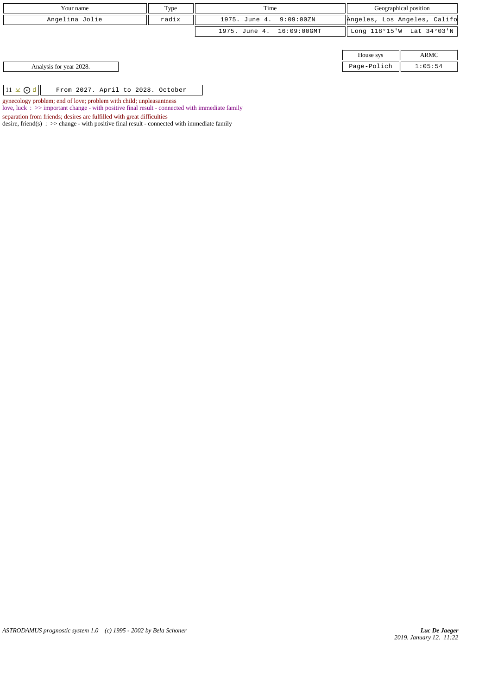| Your name                                           | Type  | Time                      |             | Geographical position        |
|-----------------------------------------------------|-------|---------------------------|-------------|------------------------------|
| Angelina Jolie                                      | radix | 1975. June 4. 9:09:00ZN   |             | Angeles, Los Angeles, Califo |
|                                                     |       | 1975. June 4. 16:09:00GMT |             | Long 118°15'W Lat 34°03'N    |
|                                                     |       |                           |             |                              |
|                                                     |       |                           | House sys   | <b>ARMC</b>                  |
| Analysis for year 2028.                             |       |                           | Page-Polich | 1:05:54                      |
|                                                     |       |                           |             |                              |
| $11 \times$ Od<br>From 2027. April to 2028. October |       |                           |             |                              |

gynecology problem; end of love; problem with child; unpleasantness

love, luck : >> important change - with positive final result - connected with immediate family

separation from friends; desires are fulfilled with great difficulties

desire, friend(s) :  $\gg$  change - with positive final result - connected with immediate family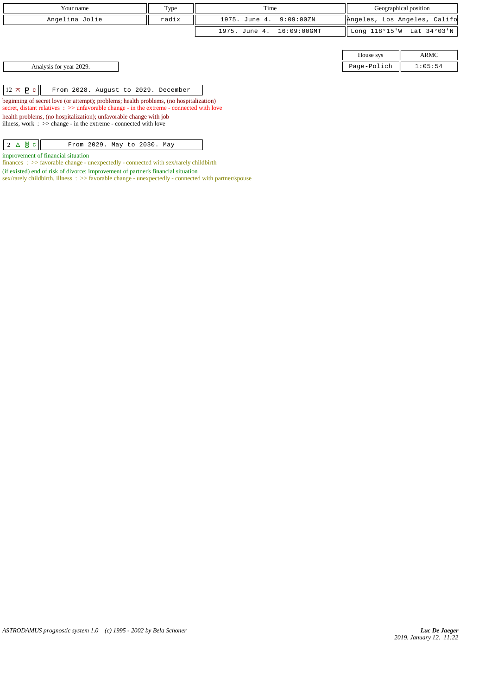| Your name      | Type  | Time                      | Geographical position        |  |
|----------------|-------|---------------------------|------------------------------|--|
| Angelina Jolie | radix | 1975. June 4. 9:09:00ZN   | Angeles, Los Angeles, Califo |  |
|                |       | 1975. June 4. 16:09:00GMT | Long 118°15'W Lat 34°03'N    |  |
|                |       |                           |                              |  |

House sys ARMC Analysis for year 2029. Page-Polich 1:05:54

 $\boxed{12 \times P c}$  From 2028. August to 2029. December

beginning of secret love (or attempt); problems; health problems, (no hospitalization) secret, distant relatives :  $\gg$  unfavorable change - in the extreme - connected with love health problems, (no hospitalization); unfavorable change with job illness, work : >> change - in the extreme - connected with love

 $2 \triangle \overset{\text{W}}{\bullet}$  c From 2029. May to 2030. May

improvement of financial situation finances : >> favorable change - unexpectedly - connected with sex/rarely childbirth

(if existed) end of risk of divorce; improvement of partner's financial situation

sex/rarely childbirth, illness : >> favorable change - unexpectedly - connected with partner/spouse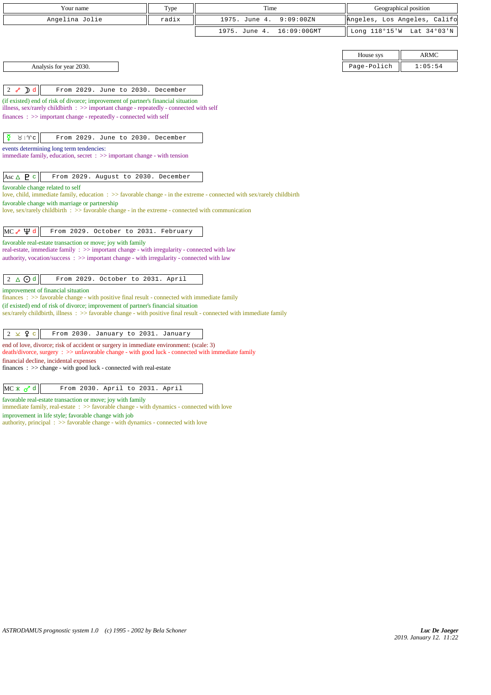| Your name                                                                                                                                                                                                | Type  | Time          |                | Geographical position        |             |
|----------------------------------------------------------------------------------------------------------------------------------------------------------------------------------------------------------|-------|---------------|----------------|------------------------------|-------------|
| Angelina Jolie                                                                                                                                                                                           | radix | 1975. June 4. | 9:09:00ZN      | Angeles, Los Angeles, Califo |             |
|                                                                                                                                                                                                          |       | 1975. June 4. | $16:09:00$ GMT | Long 118°15'W Lat 34°03'N    |             |
|                                                                                                                                                                                                          |       |               |                |                              |             |
|                                                                                                                                                                                                          |       |               |                | House sys                    | <b>ARMC</b> |
| Analysis for year 2030.                                                                                                                                                                                  |       |               |                | Page-Polich                  | 1:05:54     |
|                                                                                                                                                                                                          |       |               |                |                              |             |
| $2\sigma$<br>D <sub>d</sub><br>From 2029. June to 2030. December                                                                                                                                         |       |               |                |                              |             |
| (if existed) end of risk of divorce; improvement of partner's financial situation<br>illness, sex/rarely childbirth $\therefore$ $\gg$ important change - repeatedly - connected with self               |       |               |                |                              |             |
| finances : >> important change - repeatedly - connected with self                                                                                                                                        |       |               |                |                              |             |
|                                                                                                                                                                                                          |       |               |                |                              |             |
| ₫<br>8   9c<br>From 2029. June to 2030. December                                                                                                                                                         |       |               |                |                              |             |
| events determining long term tendencies:<br>immediate family, education, secret $\Rightarrow$ important change - with tension                                                                            |       |               |                |                              |             |
|                                                                                                                                                                                                          |       |               |                |                              |             |
| Asc $\triangle$ <b>P</b> $\subset$<br>From 2029. August to 2030. December                                                                                                                                |       |               |                |                              |             |
| favorable change related to self<br>love, child, immediate family, education : >> favorable change - in the extreme - connected with sex/rarely childbirth                                               |       |               |                |                              |             |
| favorable change with marriage or partnership                                                                                                                                                            |       |               |                |                              |             |
| love, sex/rarely childbirth $\Rightarrow$ favorable change - in the extreme - connected with communication                                                                                               |       |               |                |                              |             |
| $MC \rightarrow \Psi d$<br>From 2029. October to 2031. February                                                                                                                                          |       |               |                |                              |             |
| favorable real-estate transaction or move; joy with family                                                                                                                                               |       |               |                |                              |             |
| real-estate, immediate family $\Rightarrow$ important change - with irregularity - connected with law                                                                                                    |       |               |                |                              |             |
| authority, vocation/success : >> important change - with irregularity - connected with law                                                                                                               |       |               |                |                              |             |
| $2 \triangle$ $\odot$ d<br>From 2029. October to 2031. April                                                                                                                                             |       |               |                |                              |             |
| improvement of financial situation                                                                                                                                                                       |       |               |                |                              |             |
| $finances : \gg$ favorable change - with positive final result - connected with immediate family                                                                                                         |       |               |                |                              |             |
| (if existed) end of risk of divorce; improvement of partner's financial situation<br>sex/rarely childbirth, illness : >> favorable change - with positive final result - connected with immediate family |       |               |                |                              |             |
|                                                                                                                                                                                                          |       |               |                |                              |             |
| $2 \times 9c$<br>From 2030. January to 2031. January                                                                                                                                                     |       |               |                |                              |             |
| end of love, divorce; risk of accident or surgery in immediate environment: (scale: 3)<br>death/divorce, surgery : >> unfavorable change - with good luck - connected with immediate family              |       |               |                |                              |             |
| financial decline, incidental expenses                                                                                                                                                                   |       |               |                |                              |             |
| $finances : \gg change - with good luck - connected with real-estate$                                                                                                                                    |       |               |                |                              |             |

favorable real-estate transaction or move; joy with family

immediate family, real-estate  $\;\;>>$  favorable change - with dynamics - connected with love

improvement in life style; favorable change with job

authority, principal : >> favorable change - with dynamics - connected with love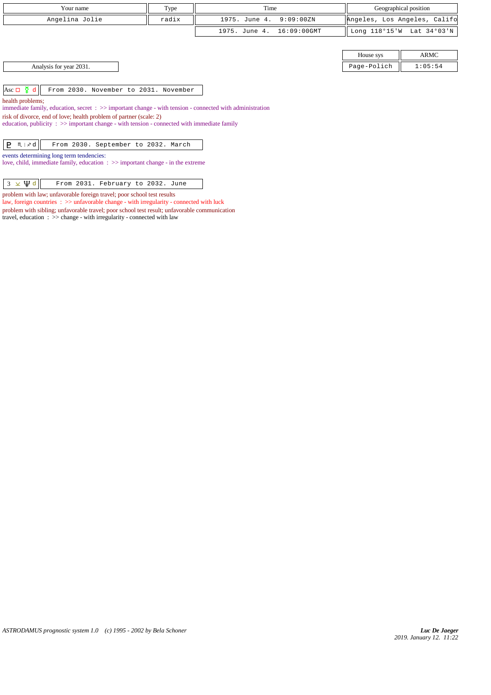| Your name                                                                                                                                                                                                                                                                                       | Type  | Time                         | Geographical position |                              |  |  |
|-------------------------------------------------------------------------------------------------------------------------------------------------------------------------------------------------------------------------------------------------------------------------------------------------|-------|------------------------------|-----------------------|------------------------------|--|--|
| Angelina Jolie                                                                                                                                                                                                                                                                                  | radix | 1975. June 4.<br>9:09:00ZN   |                       | Angeles, Los Angeles, Califo |  |  |
|                                                                                                                                                                                                                                                                                                 |       | 16:09:00GMT<br>1975. June 4. | Long 118°15'W         | Lat 34°03'N                  |  |  |
|                                                                                                                                                                                                                                                                                                 |       |                              | House sys             | ARMC                         |  |  |
| Analysis for year 2031.                                                                                                                                                                                                                                                                         |       |                              | Page-Polich           | 1:05:54                      |  |  |
| Asc $\Box$ $\Phi$ d<br>From 2030. November to 2031. November<br>health problems;                                                                                                                                                                                                                |       |                              |                       |                              |  |  |
| immediate family, education, secret $\Rightarrow$ important change - with tension - connected with administration<br>risk of divorce, end of love; health problem of partner (scale: 2)<br>education, publicity $\Rightarrow$ important change - with tension - connected with immediate family |       |                              |                       |                              |  |  |
| P.<br>$M \times d$<br>From 2030. September to 2032. March                                                                                                                                                                                                                                       |       |                              |                       |                              |  |  |
| events determining long term tendencies:<br>love, child, immediate family, education $\Rightarrow$ important change - in the extreme                                                                                                                                                            |       |                              |                       |                              |  |  |
| $3 \times \Psi d$<br>From 2031. February to 2032. June                                                                                                                                                                                                                                          |       |                              |                       |                              |  |  |

*ASTRODAMUS prognostic system 1.0 (c) 1995 - 2002 by Bela Schoner*

problem with law; unfavorable foreign travel; poor school test results

travel, education : >> change - with irregularity - connected with law

law, foreign countries : >> unfavorable change - with irregularity - connected with luck problem with sibling; unfavorable travel; poor school test result; unfavorable communication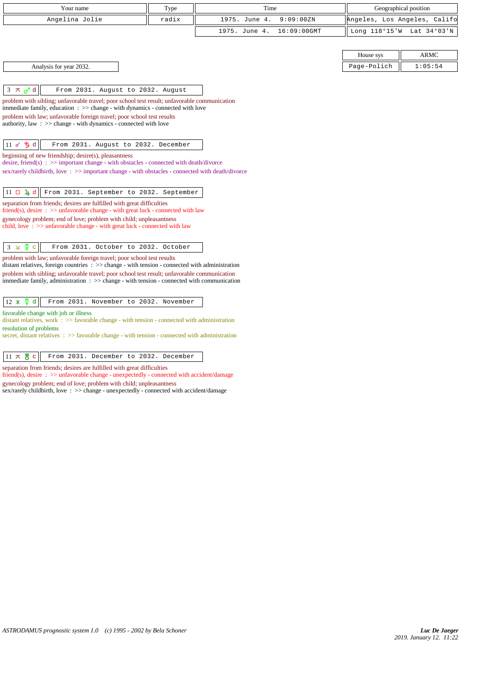| Your name                                                                                                                                                                                                             | Type  | Time                         | Geographical position        |             |
|-----------------------------------------------------------------------------------------------------------------------------------------------------------------------------------------------------------------------|-------|------------------------------|------------------------------|-------------|
| Angelina Jolie                                                                                                                                                                                                        | radix | 1975. June 4.<br>9:09:00ZN   | Angeles, Los Angeles, Califo |             |
|                                                                                                                                                                                                                       |       | 1975. June 4.<br>16:09:00GMT | Long 118°15'W                | Lat 34°03'N |
|                                                                                                                                                                                                                       |       |                              |                              |             |
|                                                                                                                                                                                                                       |       |                              | House sys                    | <b>ARMC</b> |
| Analysis for year 2032.                                                                                                                                                                                               |       |                              | Page-Polich                  | 1:05:54     |
|                                                                                                                                                                                                                       |       |                              |                              |             |
| $3 \times d$<br>From 2031. August to 2032. August                                                                                                                                                                     |       |                              |                              |             |
| problem with sibling; unfavorable travel; poor school test result; unfavorable communication                                                                                                                          |       |                              |                              |             |
| immediate family, education $\Rightarrow$ > change - with dynamics - connected with love<br>problem with law; unfavorable foreign travel; poor school test results                                                    |       |                              |                              |             |
| authority, law $\Rightarrow$ >> change - with dynamics - connected with love                                                                                                                                          |       |                              |                              |             |
|                                                                                                                                                                                                                       |       |                              |                              |             |
| 11 8 5 d<br>From 2031. August to 2032. December                                                                                                                                                                       |       |                              |                              |             |
| beginning of new friendship; desire(s), pleasantness<br>desire, friend(s) : $\gg$ important change - with obstacles - connected with death/divorce                                                                    |       |                              |                              |             |
| sex/rarely childbirth, love: >> important change - with obstacles - connected with death/divorce                                                                                                                      |       |                              |                              |             |
|                                                                                                                                                                                                                       |       |                              |                              |             |
| $11 \Box 4 d$<br>From 2031. September to 2032. September                                                                                                                                                              |       |                              |                              |             |
| separation from friends; desires are fulfilled with great difficulties<br>friend(s), desire $\Rightarrow$ >> unfavorable change - with great luck - connected with law                                                |       |                              |                              |             |
| gynecology problem; end of love; problem with child; unpleasantness                                                                                                                                                   |       |                              |                              |             |
| child, love $\Rightarrow$ > unfavorable change - with great luck - connected with law                                                                                                                                 |       |                              |                              |             |
| $3 \times \overline{2}$ c<br>From 2031. October to 2032. October                                                                                                                                                      |       |                              |                              |             |
| problem with law; unfavorable foreign travel; poor school test results                                                                                                                                                |       |                              |                              |             |
| distant relatives, foreign countries $\therefore$ $\Rightarrow$ change - with tension - connected with administration<br>problem with sibling; unfavorable travel; poor school test result; unfavorable communication |       |                              |                              |             |
| immediate family, administration $\Rightarrow$ $\Rightarrow$ change - with tension - connected with communication                                                                                                     |       |                              |                              |             |
|                                                                                                                                                                                                                       |       |                              |                              |             |
| $12 \times \mathbf{9}$ d<br>From 2031. November to 2032. November                                                                                                                                                     |       |                              |                              |             |
| favorable change with job or illness<br>distant relatives, work $\therefore$ $\geq$ favorable change - with tension - connected with administration                                                                   |       |                              |                              |             |
| resolution of problems                                                                                                                                                                                                |       |                              |                              |             |
| secret, distant relatives $\Rightarrow$ favorable change - with tension - connected with administration                                                                                                               |       |                              |                              |             |
| $11 \times 8$ c<br>From 2031. December to 2032. December                                                                                                                                                              |       |                              |                              |             |
| separation from friends; desires are fulfilled with great difficulties                                                                                                                                                |       |                              |                              |             |
| friend(s), desire : >> unfavorable change - unexpectedly - connected with accident/damage                                                                                                                             |       |                              |                              |             |
| gynecology problem; end of love; problem with child; unpleasantness<br>sex/rarely childbirth, love: >> change - unexpectedly - connected with accident/damage                                                         |       |                              |                              |             |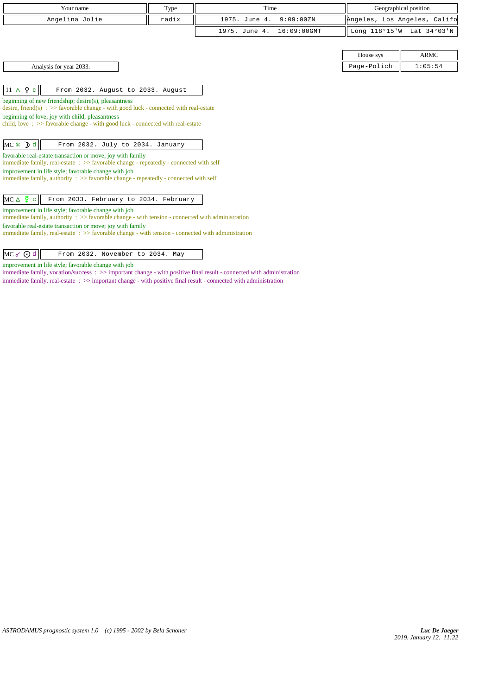| Your name                                                                                                                                                                                                                                                                                                                                                                                     | Type  | Time                         |             | Geographical position        |
|-----------------------------------------------------------------------------------------------------------------------------------------------------------------------------------------------------------------------------------------------------------------------------------------------------------------------------------------------------------------------------------------------|-------|------------------------------|-------------|------------------------------|
| Angelina Jolie                                                                                                                                                                                                                                                                                                                                                                                | radix | 1975. June 4.<br>9:09:00ZN   |             | Angeles, Los Angeles, Califo |
|                                                                                                                                                                                                                                                                                                                                                                                               |       | 1975. June 4.<br>16:09:00GMT |             | Long 118°15'W Lat 34°03'N    |
|                                                                                                                                                                                                                                                                                                                                                                                               |       |                              |             |                              |
|                                                                                                                                                                                                                                                                                                                                                                                               |       |                              | House sys   | <b>ARMC</b>                  |
| Analysis for year 2033.                                                                                                                                                                                                                                                                                                                                                                       |       |                              | Page-Polich | 1:05:54                      |
|                                                                                                                                                                                                                                                                                                                                                                                               |       |                              |             |                              |
| $11 \triangle \mathsf{9}$ c<br>From 2032. August to 2033. August                                                                                                                                                                                                                                                                                                                              |       |                              |             |                              |
| desire, friend(s) : $\gg$ favorable change - with good luck - connected with real-estate<br>beginning of love; joy with child; pleasantness<br>child, love $\Rightarrow$ Savorable change - with good luck - connected with real-estate<br>$MC \times D d$<br>From 2032. July to 2034. January                                                                                                |       |                              |             |                              |
| favorable real-estate transaction or move; joy with family<br>immediate family, real-estate : >> favorable change - repeatedly - connected with self<br>improvement in life style; favorable change with job<br>immediate family, authority : $\gg$ favorable change - repeatedly - connected with self                                                                                       |       |                              |             |                              |
| $MC \triangle \n\overline{2}$ c<br>From 2033. February to 2034. February                                                                                                                                                                                                                                                                                                                      |       |                              |             |                              |
| improvement in life style; favorable change with job<br>immediate family, authority $\Rightarrow$ > favorable change - with tension - connected with administration<br>favorable real-estate transaction or move; joy with family<br>immediate family, real-estate : >> favorable change - with tension - connected with administration<br>From 2032. November to 2034. May<br>$MC \circ Q$ d |       |                              |             |                              |

improvement in life style; favorable change with job

immediate family, vocation/success : >> important change - with positive final result - connected with administration immediate family, real-estate : >> important change - with positive final result - connected with administration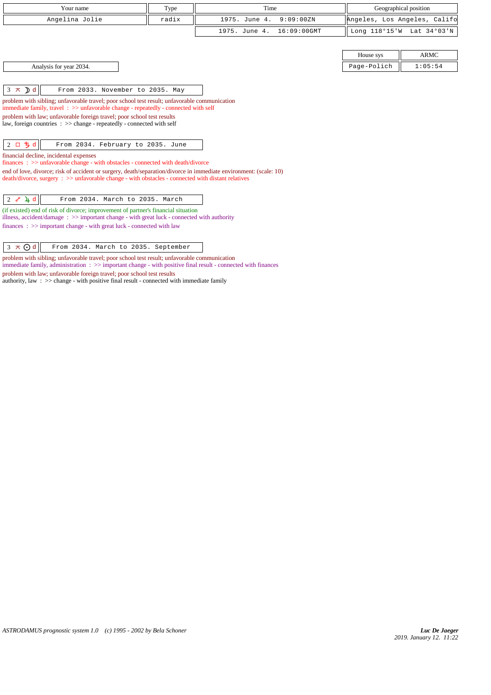| Your name                                                                                                                                                                                                              | Type  | Time                         | Geographical position        |             |
|------------------------------------------------------------------------------------------------------------------------------------------------------------------------------------------------------------------------|-------|------------------------------|------------------------------|-------------|
| Angelina Jolie                                                                                                                                                                                                         | radix | 1975. June 4.<br>9:09:00ZN   | Angeles, Los Angeles, Califo |             |
|                                                                                                                                                                                                                        |       | 1975. June 4.<br>16:09:00GMT | Long 118°15'W Lat 34°03'N    |             |
|                                                                                                                                                                                                                        |       |                              |                              |             |
|                                                                                                                                                                                                                        |       |                              | House sys                    | <b>ARMC</b> |
| Analysis for year 2034.                                                                                                                                                                                                |       |                              | Page-Polich                  | 1:05:54     |
|                                                                                                                                                                                                                        |       |                              |                              |             |
| $3 \times D d$<br>From 2033. November to 2035. May                                                                                                                                                                     |       |                              |                              |             |
| problem with sibling; unfavorable travel; poor school test result; unfavorable communication<br>immediate family, travel $\Rightarrow$ > unfavorable change - repeatedly - connected with self                         |       |                              |                              |             |
| problem with law; unfavorable foreign travel; poor school test results<br>law, foreign countries : >> change - repeatedly - connected with self                                                                        |       |                              |                              |             |
| $2$ ロ ち d<br>From 2034. February to 2035. June                                                                                                                                                                         |       |                              |                              |             |
| financial decline, incidental expenses<br>finances: >> unfavorable change - with obstacles - connected with death/divorce                                                                                              |       |                              |                              |             |
| end of love, divorce; risk of accident or surgery, death/separation/divorce in immediate environment: (scale: 10)<br>death/divorce, surgery: >> unfavorable change - with obstacles - connected with distant relatives |       |                              |                              |             |
| $2$ $\sqrt{4}$ d<br>From 2034. March to 2035. March                                                                                                                                                                    |       |                              |                              |             |
| (if existed) end of risk of divorce; improvement of partner's financial situation<br>illness, accident/damage : $\gg$ important change - with great luck - connected with authority                                    |       |                              |                              |             |
| finances : $\gg$ important change - with great luck - connected with law                                                                                                                                               |       |                              |                              |             |

 $\sqrt{3 \times 0}$ d From 2034. March to 2035. September

problem with sibling; unfavorable travel; poor school test result; unfavorable communication immediate family, administration : >> important change - with positive final result - connected with finances problem with law; unfavorable foreign travel; poor school test results authority, law : >> change - with positive final result - connected with immediate family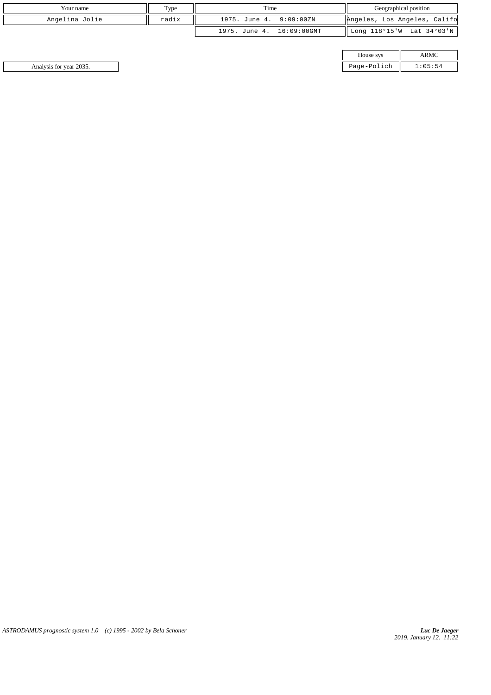| Your name      | Type  | Time                         | Geographical position        |
|----------------|-------|------------------------------|------------------------------|
| Angelina Jolie | radix | 9:09:00ZN<br>1975. June 4.   | Angeles, Los Angeles, Califo |
|                |       | 16:09:00GMT<br>1975. June 4. | Long 118°15'W Lat 34°03'N    |

| House sys         |  |
|-------------------|--|
| ae-Pol<br>$-0.01$ |  |

Analysis for year 2035. Page-Polich 1:05:54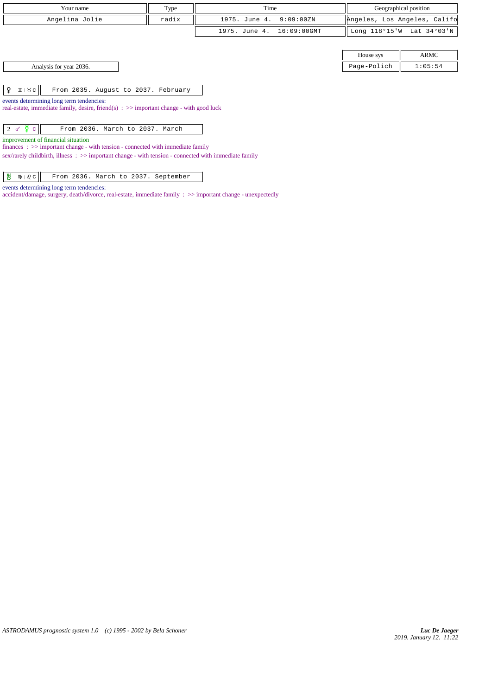| Your name                                                                                                                                                                                                                        | Type  | Time                         | Geographical position |                              |  |
|----------------------------------------------------------------------------------------------------------------------------------------------------------------------------------------------------------------------------------|-------|------------------------------|-----------------------|------------------------------|--|
| Angelina Jolie                                                                                                                                                                                                                   | radix | 1975. June 4.<br>9:09:00ZN   |                       | Angeles, Los Angeles, Califo |  |
|                                                                                                                                                                                                                                  |       | 16:09:00GMT<br>1975. June 4. |                       | Long 118°15'W Lat 34°03'N    |  |
|                                                                                                                                                                                                                                  |       |                              |                       |                              |  |
|                                                                                                                                                                                                                                  |       |                              | House sys             | ARMC                         |  |
| Analysis for year 2036.                                                                                                                                                                                                          |       |                              | Page-Polich           | 1:05:54                      |  |
|                                                                                                                                                                                                                                  |       |                              |                       |                              |  |
| ¥.<br>$I \mid \lambda c$<br>From 2035. August to 2037. February                                                                                                                                                                  |       |                              |                       |                              |  |
| events determining long term tendencies:<br>real-estate, immediate family, desire, friend(s) : $\gg$ important change - with good luck                                                                                           |       |                              |                       |                              |  |
| $2 d \frac{5}{2} c$<br>From 2036. March to 2037. March                                                                                                                                                                           |       |                              |                       |                              |  |
| improvement of financial situation<br>$finances: \gg important change - with tension - connected with immediate family$<br>sex/rarely childbirth, illness : >> important change - with tension - connected with immediate family |       |                              |                       |                              |  |

 $\begin{array}{|c|c|c|c|c|c|} \hline \texttt{\#} & \texttt{\$} & \texttt{\$} & \texttt{\$} & \texttt{\$} & \texttt{\$} & \texttt{\$} & \texttt{\$} & \texttt{\$} & \texttt{\$} & \texttt{\$} & \texttt{\$} & \texttt{\$} & \texttt{\$} & \texttt{\$} & \texttt{\$} & \texttt{\$} & \texttt{\$} & \texttt{\$} & \texttt{\$} & \texttt{\$} & \texttt{\$} & \texttt{\$} & \texttt{\$} & \texttt{\$} & \texttt{\$} & \texttt{\$} & \texttt{\$} & \text$ 

accident/damage, surgery, death/divorce, real-estate, immediate family : >> important change - unexpectedly

events determining long term tendencies: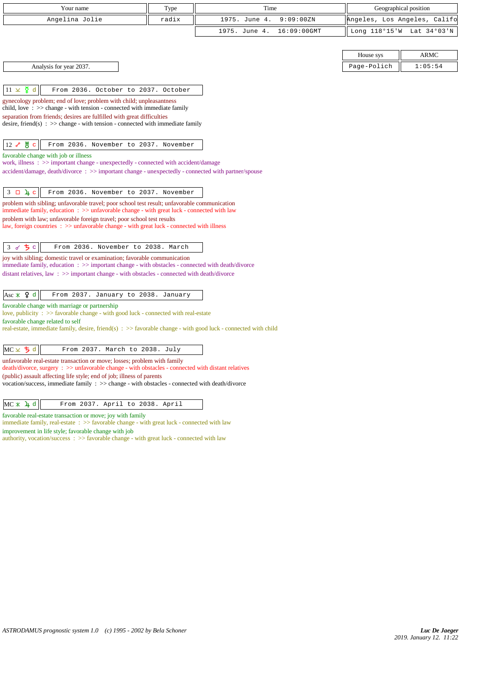| Your name                                                                                                                                                                                 | Type  | Time                         | Geographical position        |             |
|-------------------------------------------------------------------------------------------------------------------------------------------------------------------------------------------|-------|------------------------------|------------------------------|-------------|
| Angelina Jolie                                                                                                                                                                            | radix | 1975. June 4.<br>9:09:00ZN   | Angeles, Los Angeles, Califo |             |
|                                                                                                                                                                                           |       | 1975. June 4.<br>16:09:00GMT | Long 118°15'W Lat 34°03'N    |             |
|                                                                                                                                                                                           |       |                              |                              |             |
|                                                                                                                                                                                           |       |                              | House sys                    | <b>ARMC</b> |
| Analysis for year 2037.                                                                                                                                                                   |       |                              | Page-Polich                  | 1:05:54     |
|                                                                                                                                                                                           |       |                              |                              |             |
| $11 \times \xi$ d<br>From 2036. October to 2037. October                                                                                                                                  |       |                              |                              |             |
| gynecology problem; end of love; problem with child; unpleasantness                                                                                                                       |       |                              |                              |             |
| child, love: $\frac{1}{2}$ >> change - with tension - connected with immediate family<br>separation from friends; desires are fulfilled with great difficulties                           |       |                              |                              |             |
| desire, friend(s) : $\gg$ change - with tension - connected with immediate family                                                                                                         |       |                              |                              |             |
|                                                                                                                                                                                           |       |                              |                              |             |
| ув<br>$12\sigma$<br>From 2036. November to 2037. November                                                                                                                                 |       |                              |                              |             |
| favorable change with job or illness<br>work, illness: >> important change - unexpectedly - connected with accident/damage                                                                |       |                              |                              |             |
| accident/damage, death/divorce : >> important change - unexpectedly - connected with partner/spouse                                                                                       |       |                              |                              |             |
|                                                                                                                                                                                           |       |                              |                              |             |
| $3 \Box 4 c$<br>From 2036. November to 2037. November                                                                                                                                     |       |                              |                              |             |
| problem with sibling; unfavorable travel; poor school test result; unfavorable communication<br>immediate family, education: >> unfavorable change - with great luck - connected with law |       |                              |                              |             |
| problem with law; unfavorable foreign travel; poor school test results                                                                                                                    |       |                              |                              |             |
| law, foreign countries : $\gg$ unfavorable change - with great luck - connected with illness                                                                                              |       |                              |                              |             |
| <b>イち</b> c<br>From 2036. November to 2038. March                                                                                                                                         |       |                              |                              |             |
| 3<br>joy with sibling; domestic travel or examination; favorable communication                                                                                                            |       |                              |                              |             |
| immediate family, education : >> important change - with obstacles - connected with death/divorce                                                                                         |       |                              |                              |             |
| distant relatives, law $\Rightarrow$ >> important change - with obstacles - connected with death/divorce                                                                                  |       |                              |                              |             |
|                                                                                                                                                                                           |       |                              |                              |             |
| Asc $\angle$ $\varphi$ d<br>From 2037. January to 2038. January<br>favorable change with marriage or partnership                                                                          |       |                              |                              |             |
| love, publicity : >> favorable change - with good luck - connected with real-estate                                                                                                       |       |                              |                              |             |
| favorable change related to self<br>real-estate, immediate family, desire, friend(s) $\Rightarrow$ favorable change - with good luck - connected with child                               |       |                              |                              |             |
|                                                                                                                                                                                           |       |                              |                              |             |
| $MC \times 5d$<br>From 2037. March to 2038. July                                                                                                                                          |       |                              |                              |             |
| unfavorable real-estate transaction or move; losses; problem with family                                                                                                                  |       |                              |                              |             |
| death/divorce, surgery : >> unfavorable change - with obstacles - connected with distant relatives<br>(public) assault affecting life style; end of job; illness of parents               |       |                              |                              |             |
| vocation/success, immediate family : >> change - with obstacles - connected with death/divorce                                                                                            |       |                              |                              |             |
|                                                                                                                                                                                           |       |                              |                              |             |
| $MC * 4d$<br>From 2037. April to 2038. April                                                                                                                                              |       |                              |                              |             |
| favorable real-estate transaction or move; joy with family<br>immediate family, real-estate : >> favorable change - with great luck - connected with law                                  |       |                              |                              |             |
| improvement in life style; favorable change with job                                                                                                                                      |       |                              |                              |             |
| authority, vocation/success : >> favorable change - with great luck - connected with law                                                                                                  |       |                              |                              |             |
|                                                                                                                                                                                           |       |                              |                              |             |
|                                                                                                                                                                                           |       |                              |                              |             |
|                                                                                                                                                                                           |       |                              |                              |             |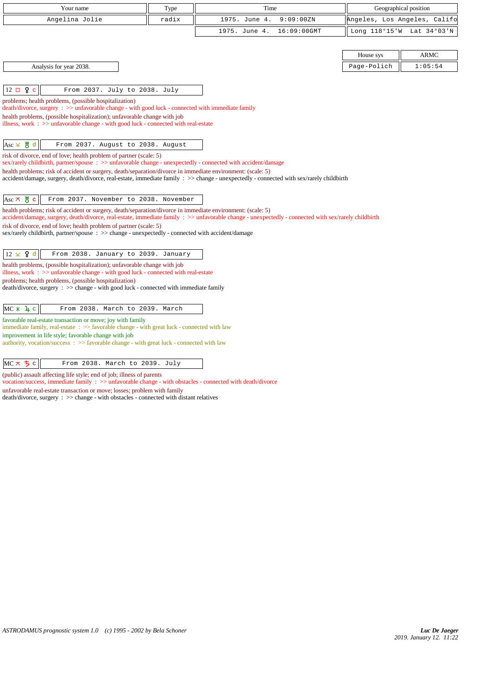| Your name                                                                                                                                                                   | Type  | Time                                                                                                                                                 | Geographical position        |             |
|-----------------------------------------------------------------------------------------------------------------------------------------------------------------------------|-------|------------------------------------------------------------------------------------------------------------------------------------------------------|------------------------------|-------------|
| Angelina Jolie                                                                                                                                                              | radix | 1975. June 4.<br>9:09:00ZN                                                                                                                           | Angeles, Los Angeles, Califo |             |
|                                                                                                                                                                             |       | 1975. June 4.<br>16:09:00GMT                                                                                                                         | Long 118°15'W Lat 34°03'N    |             |
|                                                                                                                                                                             |       |                                                                                                                                                      |                              |             |
|                                                                                                                                                                             |       |                                                                                                                                                      | House sys                    | <b>ARMC</b> |
| Analysis for year 2038.                                                                                                                                                     |       |                                                                                                                                                      | Page-Polich                  | 1:05:54     |
|                                                                                                                                                                             |       |                                                                                                                                                      |                              |             |
| $12 \square$ ?<br>From 2037. July to 2038. July<br>$\mathbf{c}$                                                                                                             |       |                                                                                                                                                      |                              |             |
| problems; health problems, (possible hospitalization)<br>death/divorce, surgery : >> unfavorable change - with good luck - connected with immediate family                  |       |                                                                                                                                                      |                              |             |
| health problems, (possible hospitalization); unfavorable change with job                                                                                                    |       |                                                                                                                                                      |                              |             |
| illness, work $\Rightarrow$ unfavorable change - with good luck - connected with real-estate                                                                                |       |                                                                                                                                                      |                              |             |
| $Asc \times \overset{\text{W}}{\circ} d$<br>From 2037. August to 2038. August                                                                                               |       |                                                                                                                                                      |                              |             |
| risk of divorce, end of love; health problem of partner (scale: 5)                                                                                                          |       |                                                                                                                                                      |                              |             |
| sex/rarely childbirth, partner/spouse : >> unfavorable change - unexpectedly - connected with accident/damage                                                               |       |                                                                                                                                                      |                              |             |
| health problems; risk of accident or surgery, death/separation/divorce in immediate environment: (scale: 5)                                                                 |       | accident/damage, surgery, death/divorce, real-estate, immediate family : >> change - unexpectedly - connected with sex/rarely childbirth             |                              |             |
|                                                                                                                                                                             |       |                                                                                                                                                      |                              |             |
| From 2037. November to 2038. November<br>$Asc \times \overset{\text{W}}{\circ} c$                                                                                           |       |                                                                                                                                                      |                              |             |
| health problems; risk of accident or surgery, death/separation/divorce in immediate environment: (scale: 5)                                                                 |       |                                                                                                                                                      |                              |             |
| risk of divorce, end of love; health problem of partner (scale: 5)                                                                                                          |       | accident/damage, surgery, death/divorce, real-estate, immediate family : >> unfavorable change - unexpectedly - connected with sex/rarely childbirth |                              |             |
| sex/rarely childbirth, partner/spouse : >> change - unexpectedly - connected with accident/damage                                                                           |       |                                                                                                                                                      |                              |             |
|                                                                                                                                                                             |       |                                                                                                                                                      |                              |             |
| $12 \times 9$ d<br>From 2038. January to 2039. January                                                                                                                      |       |                                                                                                                                                      |                              |             |
| health problems, (possible hospitalization); unfavorable change with job<br>illness, work $\Rightarrow$ >> unfavorable change - with good luck - connected with real-estate |       |                                                                                                                                                      |                              |             |
| problems; health problems, (possible hospitalization)                                                                                                                       |       |                                                                                                                                                      |                              |             |
| death/divorce, surgery : >> change - with good luck - connected with immediate family                                                                                       |       |                                                                                                                                                      |                              |             |
| $MC * 4 c$<br>From 2038. March to 2039. March                                                                                                                               |       |                                                                                                                                                      |                              |             |
| favorable real-estate transaction or move; joy with family                                                                                                                  |       |                                                                                                                                                      |                              |             |
| immediate family, real-estate : >> favorable change - with great luck - connected with law                                                                                  |       |                                                                                                                                                      |                              |             |
| improvement in life style; favorable change with job<br>authority, vocation/success : >> favorable change - with great luck - connected with law                            |       |                                                                                                                                                      |                              |             |
|                                                                                                                                                                             |       |                                                                                                                                                      |                              |             |
| $MC \times 5c$<br>From 2038. March to 2039. July                                                                                                                            |       |                                                                                                                                                      |                              |             |

(public) assault affecting life style; end of job; illness of parents

vocation/success, immediate family : >> unfavorable change - with obstacles - connected with death/divorce

unfavorable real-estate transaction or move; losses; problem with family

death/divorce, surgery : >> change - with obstacles - connected with distant relatives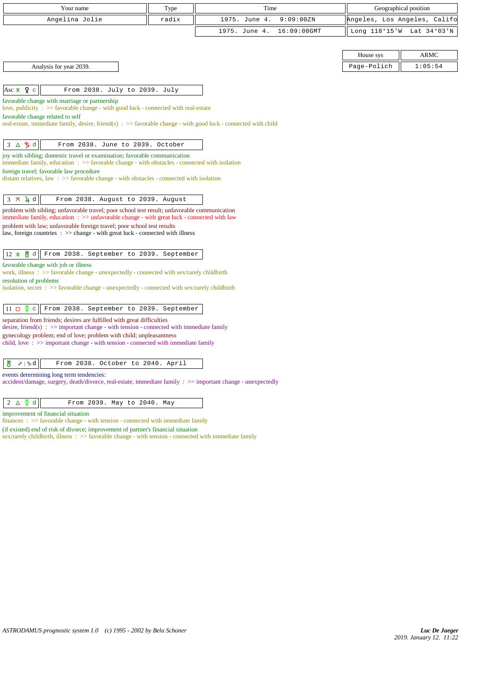| Your name                                                                                                                                                     | Type  | Time          |                |             | Geographical position        |
|---------------------------------------------------------------------------------------------------------------------------------------------------------------|-------|---------------|----------------|-------------|------------------------------|
| Angelina Jolie                                                                                                                                                | radix | 1975. June 4. | 9:09:00ZN      |             | Angeles, Los Angeles, Califo |
|                                                                                                                                                               |       | 1975. June 4. | $16:09:00$ GMT |             | Long 118°15'W Lat 34°03'N    |
|                                                                                                                                                               |       |               |                |             |                              |
|                                                                                                                                                               |       |               |                | House sys   | <b>ARMC</b>                  |
| Analysis for year 2039.                                                                                                                                       |       |               |                | Page-Polich | 1:05:54                      |
|                                                                                                                                                               |       |               |                |             |                              |
| Asc $\angle$ 4 c<br>From 2038. July to 2039. July                                                                                                             |       |               |                |             |                              |
| favorable change with marriage or partnership                                                                                                                 |       |               |                |             |                              |
| love, publicity : >> favorable change - with good luck - connected with real-estate                                                                           |       |               |                |             |                              |
| favorable change related to self<br>real-estate, immediate family, desire, friend(s) $\Rightarrow$ > favorable change - with good luck - connected with child |       |               |                |             |                              |
|                                                                                                                                                               |       |               |                |             |                              |
| 3 △ 5 d<br>From 2038. June to 2039. October                                                                                                                   |       |               |                |             |                              |
| joy with sibling; domestic travel or examination; favorable communication                                                                                     |       |               |                |             |                              |
| immediate family, education $\Rightarrow$ > favorable change - with obstacles - connected with isolation                                                      |       |               |                |             |                              |
| foreign travel; favorable law procedure<br>distant relatives, law: $\gg$ favorable change - with obstacles - connected with isolation                         |       |               |                |             |                              |
|                                                                                                                                                               |       |               |                |             |                              |
| $3 \times 1$ d<br>From 2038. August to 2039. August                                                                                                           |       |               |                |             |                              |
| problem with sibling; unfavorable travel; poor school test result; unfavorable communication                                                                  |       |               |                |             |                              |
| immediate family, education : >> unfavorable change - with great luck - connected with law                                                                    |       |               |                |             |                              |
| problem with law; unfavorable foreign travel; poor school test results<br>law, foreign countries : >> change - with great luck - connected with illness       |       |               |                |             |                              |
|                                                                                                                                                               |       |               |                |             |                              |
| 12 * 5 d<br>From 2038. September to 2039. September                                                                                                           |       |               |                |             |                              |
| favorable change with job or illness                                                                                                                          |       |               |                |             |                              |
| work, illness : $\gg$ favorable change - unexpectedly - connected with sex/rarely childbirth                                                                  |       |               |                |             |                              |
| resolution of problems<br>isolation, secret : $\gg$ favorable change - unexpectedly - connected with sex/rarely childbirth                                    |       |               |                |             |                              |
|                                                                                                                                                               |       |               |                |             |                              |
| $11 \Box \Phi$ c<br>From 2038. September to 2039. September                                                                                                   |       |               |                |             |                              |
| separation from friends; desires are fulfilled with great difficulties                                                                                        |       |               |                |             |                              |
| desire, friend(s) : $\gg$ important change - with tension - connected with immediate family                                                                   |       |               |                |             |                              |
| gynecology problem; end of love; problem with child; unpleasantness<br>child, love: $\gg$ important change - with tension - connected with immediate family   |       |               |                |             |                              |
|                                                                                                                                                               |       |               |                |             |                              |
| 쁑<br>∡≀ ∿d<br>From 2038. October to 2040. April                                                                                                               |       |               |                |             |                              |
| events determining long term tendencies:                                                                                                                      |       |               |                |             |                              |
| accident/damage, surgery, death/divorce, real-estate, immediate family : >> important change - unexpectedly                                                   |       |               |                |             |                              |
|                                                                                                                                                               |       |               |                |             |                              |
| $2 \triangle \frac{5}{4}$ d<br>From 2039. May to 2040. May                                                                                                    |       |               |                |             |                              |

improvement of financial situation

finances :  $\gg$  favorable change - with tension - connected with immediate family

(if existed) end of risk of divorce; improvement of partner's financial situation sex/rarely childbirth, illness : >> favorable change - with tension - connected with immediate family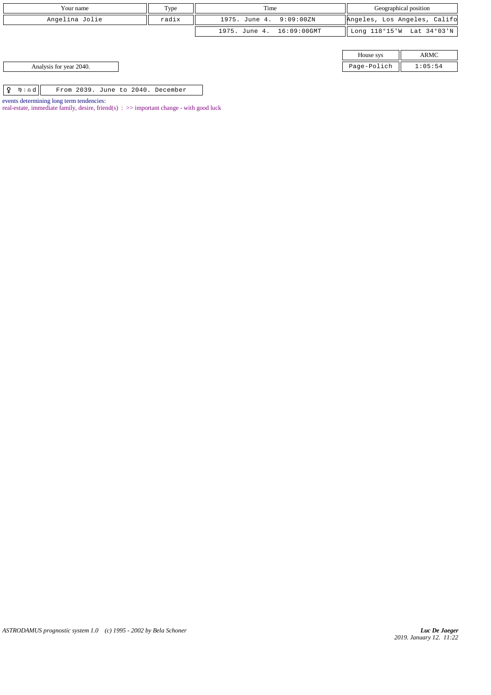| Your name                                                  | Type  | Time                      |                              | Geographical position |
|------------------------------------------------------------|-------|---------------------------|------------------------------|-----------------------|
| Angelina Jolie                                             | radix | 1975. June 4. 9:09:00ZN   | Angeles, Los Angeles, Califo |                       |
|                                                            |       | 1975. June 4. 16:09:00GMT | Long 118°15'W Lat 34°03'N    |                       |
|                                                            |       |                           |                              |                       |
|                                                            |       |                           | House sys                    | <b>ARMC</b>           |
| Analysis for year 2040.                                    |       |                           | Page-Polich                  | 1:05:54               |
|                                                            |       |                           |                              |                       |
| $m \perp \Delta$<br>¥<br>From 2039. June to 2040. December |       |                           |                              |                       |

*ASTRODAMUS prognostic system 1.0 (c) 1995 - 2002 by Bela Schoner*

events determining long term tendencies:

real-estate, immediate family, desire, friend(s)  $\Rightarrow$  important change - with good luck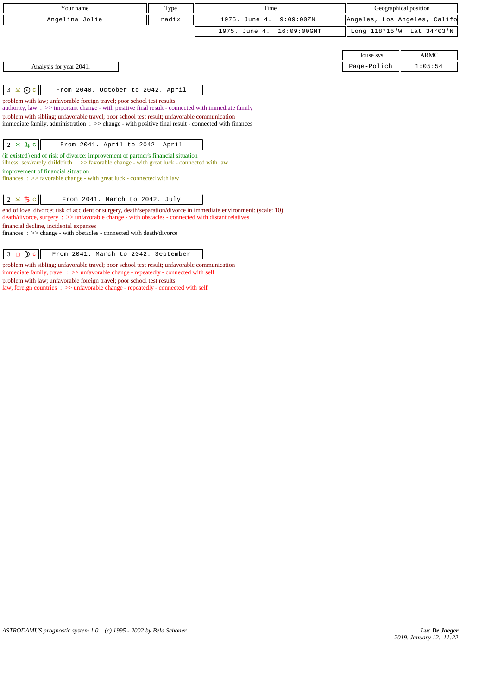| Your name                                                                                                                                                                                                                                                                                                                                                                                                                                                                                                                                                                                                                                                                                                                                                                                                                          | Type  | Time                         |                              | Geographical position     |
|------------------------------------------------------------------------------------------------------------------------------------------------------------------------------------------------------------------------------------------------------------------------------------------------------------------------------------------------------------------------------------------------------------------------------------------------------------------------------------------------------------------------------------------------------------------------------------------------------------------------------------------------------------------------------------------------------------------------------------------------------------------------------------------------------------------------------------|-------|------------------------------|------------------------------|---------------------------|
| Angelina Jolie                                                                                                                                                                                                                                                                                                                                                                                                                                                                                                                                                                                                                                                                                                                                                                                                                     | radix | 1975. June 4.<br>9:09:00ZN   | Angeles, Los Angeles, Califo |                           |
|                                                                                                                                                                                                                                                                                                                                                                                                                                                                                                                                                                                                                                                                                                                                                                                                                                    |       | 16:09:00GMT<br>1975. June 4. |                              | Long 118°15'W Lat 34°03'N |
|                                                                                                                                                                                                                                                                                                                                                                                                                                                                                                                                                                                                                                                                                                                                                                                                                                    |       |                              |                              |                           |
|                                                                                                                                                                                                                                                                                                                                                                                                                                                                                                                                                                                                                                                                                                                                                                                                                                    |       |                              | House sys                    | <b>ARMC</b>               |
| Analysis for year 2041.                                                                                                                                                                                                                                                                                                                                                                                                                                                                                                                                                                                                                                                                                                                                                                                                            |       |                              | Page-Polich                  | 1:05:54                   |
| $3 \times 0c$<br>From 2040. October to 2042. April<br>problem with law; unfavorable foreign travel; poor school test results<br>authority, law: $\gg$ important change - with positive final result - connected with immediate family<br>problem with sibling; unfavorable travel; poor school test result; unfavorable communication<br>immediate family, administration $\Rightarrow$ $\Rightarrow$ change - with positive final result - connected with finances<br>$2 * 4 c$<br>From 2041. April to 2042. April<br>(if existed) end of risk of divorce; improvement of partner's financial situation<br>illness, sex/rarely childbirth $\Rightarrow$ Savorable change - with great luck - connected with law<br>improvement of financial situation<br>finances : $\gg$ favorable change - with great luck - connected with law |       |                              |                              |                           |
| $2 \times 5c$<br>From 2041. March to 2042. July<br>end of love, divorce; risk of accident or surgery, death/separation/divorce in immediate environment: (scale: 10)<br>death/divorce, surgery : >> unfavorable change - with obstacles - connected with distant relatives<br>financial decline, incidental expenses<br>$finances : \gg change - with obstacles - connected with death/divorce$                                                                                                                                                                                                                                                                                                                                                                                                                                    |       |                              |                              |                           |
| $\sim$                                                                                                                                                                                                                                                                                                                                                                                                                                                                                                                                                                                                                                                                                                                                                                                                                             |       |                              |                              |                           |

3 c From 2041. March to 2042. September  $\Box$ problem with sibling; unfavorable travel; poor school test result; unfavorable communication immediate family, travel : >> unfavorable change - repeatedly - connected with self problem with law; unfavorable foreign travel; poor school test results law, foreign countries  $\;\; >>$  unfavorable change - repeatedly - connected with self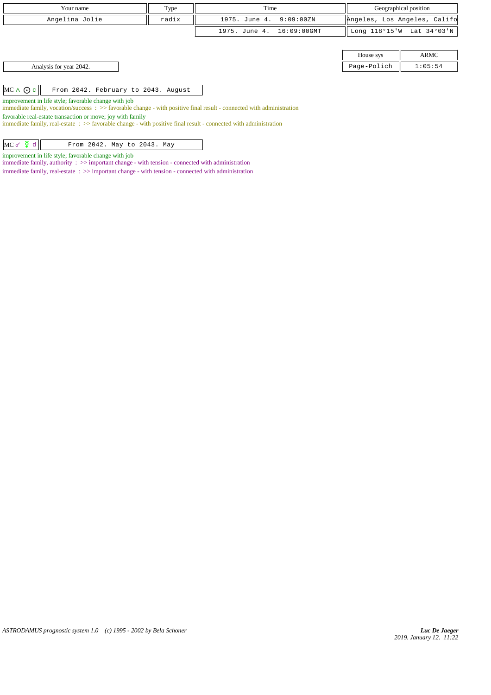| Your name                                                 | Type  | Time                      |                              | Geographical position     |
|-----------------------------------------------------------|-------|---------------------------|------------------------------|---------------------------|
| Angelina Jolie                                            | radix | 1975. June 4. 9:09:00ZN   | Angeles, Los Angeles, Califo |                           |
|                                                           |       | 1975. June 4. 16:09:00GMT |                              | Long 118°15'W Lat 34°03'N |
|                                                           |       |                           |                              |                           |
|                                                           |       |                           | House sys                    | ARMC                      |
| Analysis for year 2042.                                   |       |                           | Page-Polich                  | 1:05:54                   |
|                                                           |       |                           |                              |                           |
| $MC \triangle O c$<br>From 2042. February to 2043. August |       |                           |                              |                           |

improvement in life style; favorable change with job

immediate family, vocation/success : >> favorable change - with positive final result - connected with administration

favorable real-estate transaction or move; joy with family

immediate family, real-estate : >> favorable change - with positive final result - connected with administration

| $MC \circ \Sigma d$<br>From 2042. May to 2043. May |
|----------------------------------------------------|
|----------------------------------------------------|

improvement in life style; favorable change with job

immediate family, authority : >> important change - with tension - connected with administration

immediate family, real-estate : >> important change - with tension - connected with administration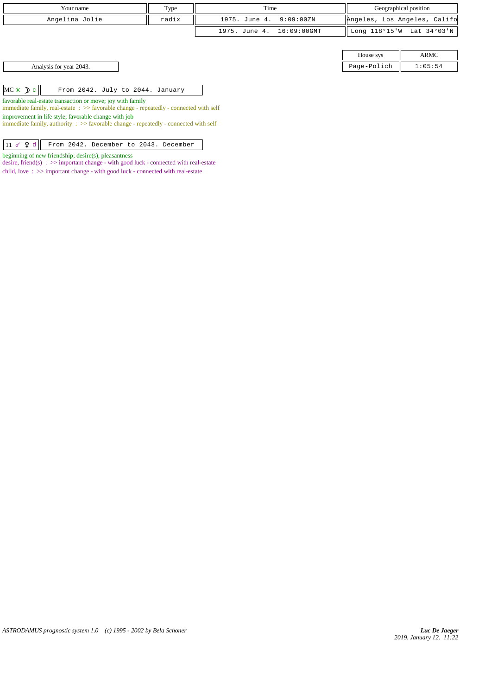|            | Your name                                                                                                                                                  | Type  | Time          |             | Geographical position        |             |
|------------|------------------------------------------------------------------------------------------------------------------------------------------------------------|-------|---------------|-------------|------------------------------|-------------|
|            | Angelina Jolie                                                                                                                                             | radix | 1975. June 4. | 9:09:00ZN   | Angeles, Los Angeles, Califo |             |
|            |                                                                                                                                                            |       | 1975. June 4. | 16:09:00GMT | Long 118°15'W Lat 34°03'N    |             |
|            |                                                                                                                                                            |       |               |             |                              |             |
|            |                                                                                                                                                            |       |               |             | House sys                    | <b>ARMC</b> |
|            | Analysis for year 2043.                                                                                                                                    |       |               |             | Page-Polich                  | 1:05:54     |
|            |                                                                                                                                                            |       |               |             |                              |             |
| $MC * D c$ | From 2042. July to 2044. January                                                                                                                           |       |               |             |                              |             |
|            | favorable real-estate transaction or move; joy with family                                                                                                 |       |               |             |                              |             |
|            | immediate family, real-estate $\Rightarrow$ Savorable change - repeatedly - connected with self                                                            |       |               |             |                              |             |
|            | improvement in life style; favorable change with job<br>immediate family, authority $\Rightarrow$ 5 > 5 avorable change - repeatedly - connected with self |       |               |             |                              |             |

 $11 d \nQ d$  From 2042. December to 2043. December

beginning of new friendship; desire(s), pleasantness

desire, friend(s) : >> important change - with good luck - connected with real-estate child, love : >> important change - with good luck - connected with real-estate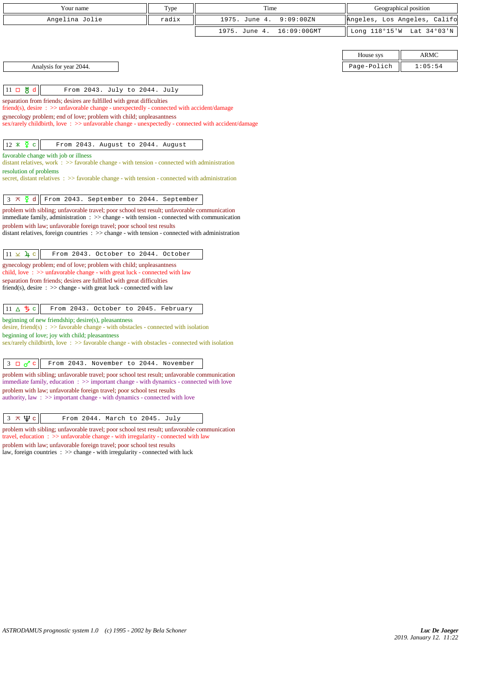| Your name<br>Type                                                                                                                                                                                           |       | Time                         | Geographical position        |             |  |
|-------------------------------------------------------------------------------------------------------------------------------------------------------------------------------------------------------------|-------|------------------------------|------------------------------|-------------|--|
| Angelina Jolie                                                                                                                                                                                              | radix | 1975. June 4.<br>9:09:00ZN   | Angeles, Los Angeles, Califo |             |  |
|                                                                                                                                                                                                             |       | 1975. June 4.<br>16:09:00GMT | Long 118°15'W                | Lat 34°03'N |  |
|                                                                                                                                                                                                             |       |                              |                              |             |  |
|                                                                                                                                                                                                             |       |                              | House sys                    | <b>ARMC</b> |  |
| Analysis for year 2044.                                                                                                                                                                                     |       |                              | Page-Polich                  | 1:05:54     |  |
|                                                                                                                                                                                                             |       |                              |                              |             |  |
| $11 \Box \& d$<br>From 2043. July to 2044. July                                                                                                                                                             |       |                              |                              |             |  |
| separation from friends; desires are fulfilled with great difficulties<br>friend(s), desire : >> unfavorable change - unexpectedly - connected with accident/damage                                         |       |                              |                              |             |  |
| gynecology problem; end of love; problem with child; unpleasantness                                                                                                                                         |       |                              |                              |             |  |
| sex/rarely childbirth, love: >> unfavorable change - unexpectedly - connected with accident/damage                                                                                                          |       |                              |                              |             |  |
| $12 \times \overline{2}$ c<br>From 2043. August to 2044. August                                                                                                                                             |       |                              |                              |             |  |
| favorable change with job or illness                                                                                                                                                                        |       |                              |                              |             |  |
| distant relatives, work $\therefore$ $\Rightarrow$ favorable change - with tension - connected with administration<br>resolution of problems                                                                |       |                              |                              |             |  |
| secret, distant relatives $\Rightarrow$ Savorable change - with tension - connected with administration                                                                                                     |       |                              |                              |             |  |
|                                                                                                                                                                                                             |       |                              |                              |             |  |
| $3 \times \xi$ d<br>From 2043. September to 2044. September                                                                                                                                                 |       |                              |                              |             |  |
| problem with sibling; unfavorable travel; poor school test result; unfavorable communication<br>immediate family, administration $\Rightarrow$ > change - with tension - connected with communication       |       |                              |                              |             |  |
| problem with law; unfavorable foreign travel; poor school test results                                                                                                                                      |       |                              |                              |             |  |
| distant relatives, foreign countries : >> change - with tension - connected with administration                                                                                                             |       |                              |                              |             |  |
| $11 \times 4c$<br>From 2043. October to 2044. October                                                                                                                                                       |       |                              |                              |             |  |
| gynecology problem; end of love; problem with child; unpleasantness                                                                                                                                         |       |                              |                              |             |  |
| child, love $\Rightarrow$ >> unfavorable change - with great luck - connected with law<br>separation from friends; desires are fulfilled with great difficulties                                            |       |                              |                              |             |  |
| friend(s), desire $\Rightarrow$ >> change - with great luck - connected with law                                                                                                                            |       |                              |                              |             |  |
|                                                                                                                                                                                                             |       |                              |                              |             |  |
| 11 $\triangle$ 5 c<br>From 2043. October to 2045. February                                                                                                                                                  |       |                              |                              |             |  |
| beginning of new friendship; desire(s), pleasantness<br>desire, friend(s) : $\gg$ favorable change - with obstacles - connected with isolation                                                              |       |                              |                              |             |  |
| beginning of love; joy with child; pleasantness                                                                                                                                                             |       |                              |                              |             |  |
| sex/rarely childbirth, love: >> favorable change - with obstacles - connected with isolation                                                                                                                |       |                              |                              |             |  |
| $3 \Box \sigma$ <sup>c</sup><br>From 2043. November to 2044. November                                                                                                                                       |       |                              |                              |             |  |
| problem with sibling; unfavorable travel; poor school test result; unfavorable communication                                                                                                                |       |                              |                              |             |  |
| immediate family, education $\Rightarrow$ >> important change - with dynamics - connected with love<br>problem with law; unfavorable foreign travel; poor school test results                               |       |                              |                              |             |  |
| authority, law $\Rightarrow$ important change - with dynamics - connected with love                                                                                                                         |       |                              |                              |             |  |
|                                                                                                                                                                                                             |       |                              |                              |             |  |
| $3 \times \Psi$ c<br>From 2044. March to 2045. July                                                                                                                                                         |       |                              |                              |             |  |
| problem with sibling; unfavorable travel; poor school test result; unfavorable communication<br>travel, education $\Rightarrow$ > $\Rightarrow$ unfavorable change - with irregularity - connected with law |       |                              |                              |             |  |
| problem with law; unfavorable foreign travel; poor school test results<br>law, foreign countries $\Rightarrow$ $\Rightarrow$ change - with irregularity - connected with luck                               |       |                              |                              |             |  |
|                                                                                                                                                                                                             |       |                              |                              |             |  |
|                                                                                                                                                                                                             |       |                              |                              |             |  |
|                                                                                                                                                                                                             |       |                              |                              |             |  |
|                                                                                                                                                                                                             |       |                              |                              |             |  |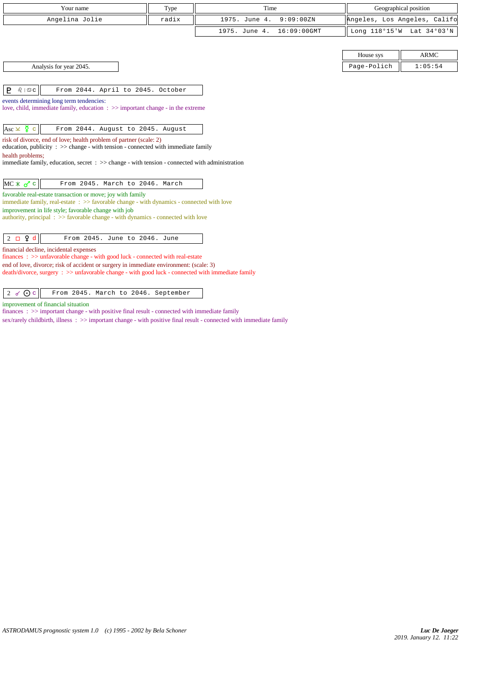| Your name                                                                                                                                                    | Type  | Time                         | Geographical position        |             |  |
|--------------------------------------------------------------------------------------------------------------------------------------------------------------|-------|------------------------------|------------------------------|-------------|--|
| Angelina Jolie                                                                                                                                               | radix | 1975. June 4.<br>9:09:00ZN   | Angeles, Los Angeles, Califo |             |  |
|                                                                                                                                                              |       | 1975. June 4.<br>16:09:00GMT | Long 118°15'W Lat 34°03'N    |             |  |
|                                                                                                                                                              |       |                              |                              |             |  |
|                                                                                                                                                              |       |                              | House sys                    | <b>ARMC</b> |  |
| Analysis for year 2045.                                                                                                                                      |       |                              | Page-Polich                  | 1:05:54     |  |
|                                                                                                                                                              |       |                              |                              |             |  |
| E<br>$\delta$   $\mathfrak{S}$ C<br>From 2044. April to 2045. October                                                                                        |       |                              |                              |             |  |
| events determining long term tendencies:                                                                                                                     |       |                              |                              |             |  |
| love, child, immediate family, education $\Rightarrow$ important change - in the extreme                                                                     |       |                              |                              |             |  |
| Asc $\times$ $\frac{8}{ }$ c<br>From 2044. August to 2045. August                                                                                            |       |                              |                              |             |  |
| risk of divorce, end of love; health problem of partner (scale: 2)                                                                                           |       |                              |                              |             |  |
| education, publicity : $\gg$ change - with tension - connected with immediate family                                                                         |       |                              |                              |             |  |
| health problems;<br>immediate family, education, secret $\Rightarrow$ > $\Rightarrow$ change - with tension - connected with administration                  |       |                              |                              |             |  |
|                                                                                                                                                              |       |                              |                              |             |  |
| $MC * \sigma c$<br>From 2045. March to 2046. March                                                                                                           |       |                              |                              |             |  |
| favorable real-estate transaction or move; joy with family                                                                                                   |       |                              |                              |             |  |
| immediate family, real-estate $\Rightarrow$ > favorable change - with dynamics - connected with love<br>improvement in life style; favorable change with job |       |                              |                              |             |  |
| authority, principal $\Rightarrow$ Savorable change - with dynamics - connected with love                                                                    |       |                              |                              |             |  |
|                                                                                                                                                              |       |                              |                              |             |  |
| $2 \Box$ $9d$<br>From 2045. June to 2046. June                                                                                                               |       |                              |                              |             |  |
| financial decline, incidental expenses<br>finances: >> unfavorable change - with good luck - connected with real-estate                                      |       |                              |                              |             |  |
| end of love, divorce; risk of accident or surgery in immediate environment: (scale: 3)                                                                       |       |                              |                              |             |  |
| death/divorce, surgery : >> unfavorable change - with good luck - connected with immediate family                                                            |       |                              |                              |             |  |
|                                                                                                                                                              |       |                              |                              |             |  |
| 2 $\sigma$ O c<br>From 2045. March to 2046. September                                                                                                        |       |                              |                              |             |  |
| an machine and a trade and a                                                                                                                                 |       |                              |                              |             |  |

improvement of financial situation

finances : >> important change - with positive final result - connected with immediate family

sex/rarely childbirth, illness : >> important change - with positive final result - connected with immediate family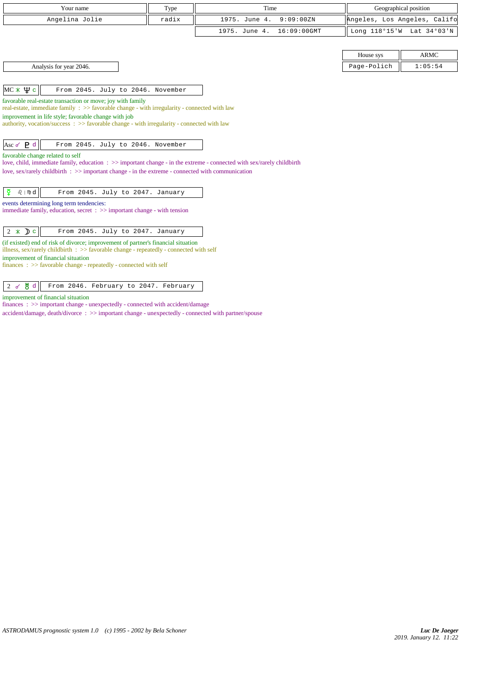| Your name                                                                                                                                                                                                                                                                                                  | Type  | Time                         | Geographical position        |                           |  |
|------------------------------------------------------------------------------------------------------------------------------------------------------------------------------------------------------------------------------------------------------------------------------------------------------------|-------|------------------------------|------------------------------|---------------------------|--|
|                                                                                                                                                                                                                                                                                                            |       |                              |                              |                           |  |
| Angelina Jolie                                                                                                                                                                                                                                                                                             | radix | 1975. June 4.<br>9:09:00ZN   | Angeles, Los Angeles, Califo |                           |  |
|                                                                                                                                                                                                                                                                                                            |       | 1975. June 4.<br>16:09:00GMT |                              | Long 118°15'W Lat 34°03'N |  |
|                                                                                                                                                                                                                                                                                                            |       |                              |                              |                           |  |
|                                                                                                                                                                                                                                                                                                            |       |                              | House sys                    | <b>ARMC</b>               |  |
| Analysis for year 2046.                                                                                                                                                                                                                                                                                    |       |                              | Page-Polich                  | 1:05:54                   |  |
| $MC \times \Psi c$<br>From 2045. July to 2046. November                                                                                                                                                                                                                                                    |       |                              |                              |                           |  |
| real-estate, immediate family : >> favorable change - with irregularity - connected with law<br>improvement in life style; favorable change with job<br>authority, vocation/success: >> favorable change - with irregularity - connected with law<br>Asc $\sigma$ P d<br>From 2045. July to 2046. November |       |                              |                              |                           |  |
| favorable change related to self<br>love, child, immediate family, education : >> important change - in the extreme - connected with sex/rarely childbirth<br>love, sex/rarely child birth $\Rightarrow$ >> important change - in the extreme - connected with communication                               |       |                              |                              |                           |  |
| ₹<br>$Q \mid m \mid d$<br>From 2045. July to 2047. January                                                                                                                                                                                                                                                 |       |                              |                              |                           |  |
| events determining long term tendencies:<br>immediate family, education, secret $\Rightarrow$ important change - with tension                                                                                                                                                                              |       |                              |                              |                           |  |
| $2 * D c$<br>From 2045. July to 2047. January                                                                                                                                                                                                                                                              |       |                              |                              |                           |  |
| (if existed) end of risk of divorce; improvement of partner's financial situation<br>illness, sex/rarely childbirth : $\gg$ favorable change - repeatedly - connected with self                                                                                                                            |       |                              |                              |                           |  |
| improvement of financial situation                                                                                                                                                                                                                                                                         |       |                              |                              |                           |  |

finances :  $\gg$  favorable change - repeatedly - connected with self

## 2 & <sup>8</sup> d From 2046. February to 2047. February

improvement of financial situation

finances : >> important change - unexpectedly - connected with accident/damage

accident/damage, death/divorce : >> important change - unexpectedly - connected with partner/spouse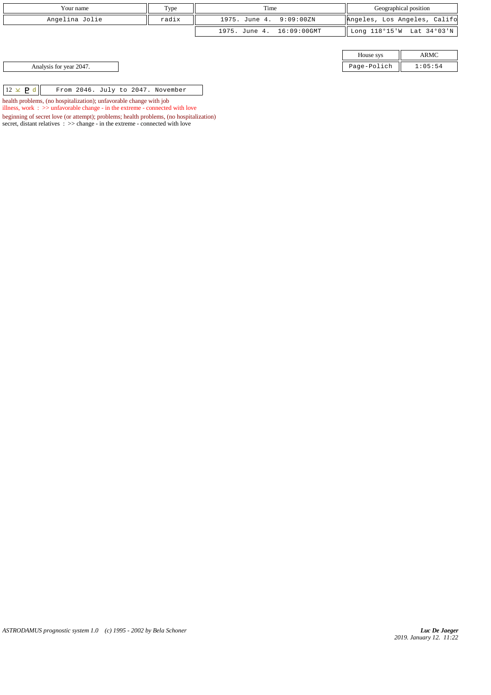| Your name               |                                   | Type  | Time                      |             | Geographical position        |      |
|-------------------------|-----------------------------------|-------|---------------------------|-------------|------------------------------|------|
| Angelina Jolie          |                                   | radix | 1975. June 4. 9:09:00ZN   |             | Angeles, Los Angeles, Califo |      |
|                         |                                   |       | 1975. June 4. 16:09:00GMT |             | Long 118°15'W Lat 34°03'N    |      |
|                         |                                   |       |                           |             |                              |      |
|                         |                                   |       |                           |             | House sys                    | ARMC |
| Analysis for year 2047. |                                   |       |                           | Page-Polich | 1:05:54                      |      |
|                         |                                   |       |                           |             |                              |      |
| $12 \times P d$         | From 2046. July to 2047. November |       |                           |             |                              |      |

 $12 \times$  **P** d From 2046. July to 2047. November health problems, (no hospitalization); unfavorable change with job

illness, work : >> unfavorable change - in the extreme - connected with love

beginning of secret love (or attempt); problems; health problems, (no hospitalization) secret, distant relatives :  $\gg$  change - in the extreme - connected with love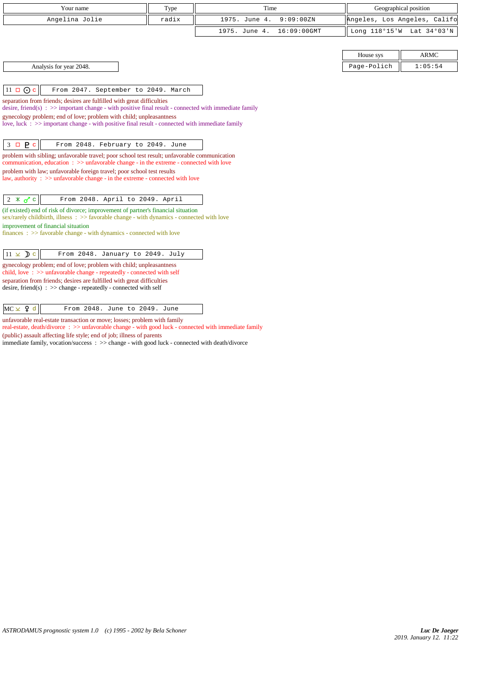|                     | Your name                                                                                                                                                                              | Type  | Time                         | Geographical position        |             |  |
|---------------------|----------------------------------------------------------------------------------------------------------------------------------------------------------------------------------------|-------|------------------------------|------------------------------|-------------|--|
|                     | Angelina Jolie                                                                                                                                                                         | radix | 1975. June 4.<br>9:09:00ZN   | Angeles, Los Angeles, Califo |             |  |
|                     |                                                                                                                                                                                        |       | 16:09:00GMT<br>1975. June 4. | Long 118°15'W Lat 34°03'N    |             |  |
|                     |                                                                                                                                                                                        |       |                              |                              |             |  |
|                     |                                                                                                                                                                                        |       |                              | House sys                    | <b>ARMC</b> |  |
|                     | Analysis for year 2048.                                                                                                                                                                |       |                              | Page-Polich                  | 1:05:54     |  |
|                     |                                                                                                                                                                                        |       |                              |                              |             |  |
| $11 \square$ O c    | From 2047. September to 2049. March                                                                                                                                                    |       |                              |                              |             |  |
|                     | separation from friends; desires are fulfilled with great difficulties<br>desire, friend(s) : $\gg$ important change - with positive final result - connected with immediate family    |       |                              |                              |             |  |
|                     | gynecology problem; end of love; problem with child; unpleasantness                                                                                                                    |       |                              |                              |             |  |
|                     | love, luck : $\gg$ important change - with positive final result - connected with immediate family                                                                                     |       |                              |                              |             |  |
|                     |                                                                                                                                                                                        |       |                              |                              |             |  |
| $3 \square$ $P c$   | From 2048. February to 2049. June                                                                                                                                                      |       |                              |                              |             |  |
|                     | problem with sibling; unfavorable travel; poor school test result; unfavorable communication<br>communication, education: >> unfavorable change - in the extreme - connected with love |       |                              |                              |             |  |
|                     | problem with law; unfavorable foreign travel; poor school test results                                                                                                                 |       |                              |                              |             |  |
|                     | law, authority $\Rightarrow$ >> unfavorable change - in the extreme - connected with love                                                                                              |       |                              |                              |             |  |
| $2 \times \sigma$ c | From 2048. April to 2049. April                                                                                                                                                        |       |                              |                              |             |  |
|                     | (if existed) end of risk of divorce; improvement of partner's financial situation                                                                                                      |       |                              |                              |             |  |
|                     | sex/rarely childbirth, illness : >> favorable change - with dynamics - connected with love                                                                                             |       |                              |                              |             |  |
|                     | improvement of financial situation<br>$finances : \gg$ favorable change - with dynamics - connected with love                                                                          |       |                              |                              |             |  |
|                     |                                                                                                                                                                                        |       |                              |                              |             |  |
| $11 \times$ D c     | From 2048. January to 2049. July                                                                                                                                                       |       |                              |                              |             |  |
|                     | gynecology problem; end of love; problem with child; unpleasantness<br>child, love $\Rightarrow$ >> unfavorable change - repeatedly - connected with self                              |       |                              |                              |             |  |
|                     | separation from friends; desires are fulfilled with great difficulties<br>desire, friend(s) : $\gg$ change - repeatedly - connected with self                                          |       |                              |                              |             |  |
|                     |                                                                                                                                                                                        |       |                              |                              |             |  |
| $MC \times 9d$      | From 2048. June to 2049. June                                                                                                                                                          |       |                              |                              |             |  |

unfavorable real-estate transaction or move; losses; problem with family real-estate, death/divorce : >> unfavorable change - with good luck - connected with immediate family

(public) assault affecting life style; end of job; illness of parents

immediate family, vocation/success : >> change - with good luck - connected with death/divorce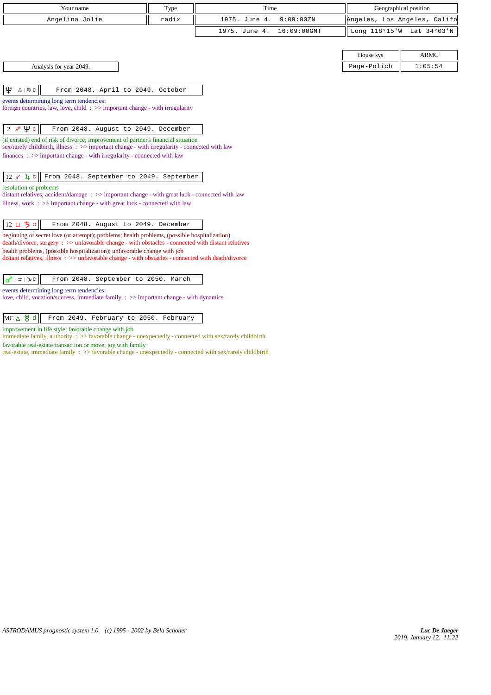| Your name      | Type  | Time                      | Geographical position        |  |
|----------------|-------|---------------------------|------------------------------|--|
| Angelina Jolie | radix | 1975. June 4. 9:09:00ZN   | Angeles, Los Angeles, Califo |  |
|                |       | 1975. June 4. 16:09:00GMT | Long 118°15'W Lat 34°03'N    |  |

House Analysis for year 2049. Page - Polich 2:05:54

|       | ARMC    |  |  |
|-------|---------|--|--|
| ∍lich | 1:05:54 |  |  |

 $|\mathbf{\Psi} \text{ or } ||$  From 2048. April to 2049. October

events determining long term tendencies: foreign countries, law, love, child : >> important change - with irregularity

 $\begin{vmatrix} 2 & \sqrt{\psi} & c \end{vmatrix}$  From 2048. August to 2049. December

(if existed) end of risk of divorce; improvement of partner's financial situation sex/rarely childbirth, illness : >> important change - with irregularity - connected with law finances : >> important change - with irregularity - connected with law

 $\boxed{12$   $\cancel{0}$   $\cancel{1}$   $\cancel{c}$  From 2048. September to 2049. September

resolution of problems

distant relatives, accident/damage : >> important change - with great luck - connected with law illness, work : >> important change - with great luck - connected with law

12  $\Box$   $\bigcirc$   $\Big|$  From 2048. August to 2049. December

beginning of secret love (or attempt); problems; health problems, (possible hospitalization) death/divorce, surgery : >> unfavorable change - with obstacles - connected with distant relatives health problems, (possible hospitalization); unfavorable change with job

distant relatives, illness : >> unfavorable change - with obstacles - connected with death/divorce

|  |  | $\sigma$ $\approx$ 1% c From 2048. September to 2050. March |  |  |
|--|--|-------------------------------------------------------------|--|--|
|  |  |                                                             |  |  |

events determining long term tendencies:

love, child, vocation/success, immediate family : >> important change - with dynamics

## $MC \Delta \frac{\text{M}}{\text{d}}$  From 2049. February to 2050. February

improvement in life style; favorable change with job

immediate family, authority : >> favorable change - unexpectedly - connected with sex/rarely childbirth

favorable real-estate transaction or move; joy with family

real-estate, immediate family : >> favorable change - unexpectedly - connected with sex/rarely childbirth